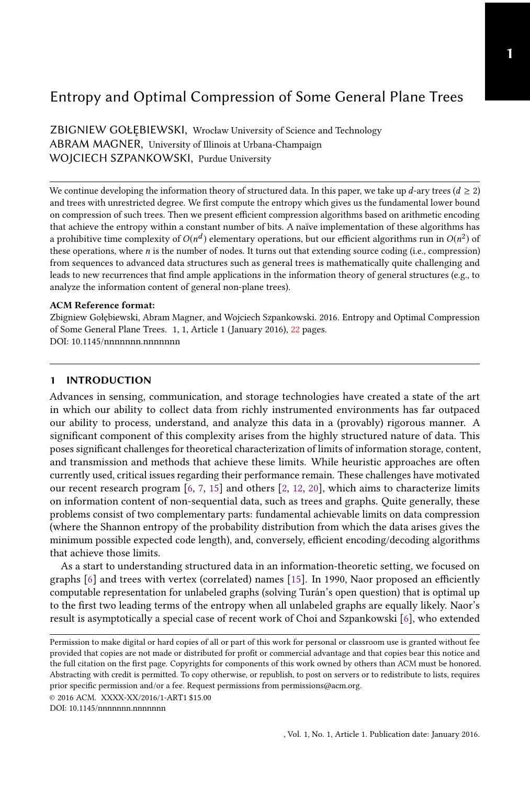# Entropy and Optimal Compression of Some General Plane Trees

ZBIGNIEW GOŁĘBIEWSKI, Wrocław University of Science and Technology ABRAM MAGNER, University of Illinois at Urbana-Champaign WOJCIECH SZPANKOWSKI, Purdue University

We continue developing the information theory of structured data. In this paper, we take up d-ary trees ( $d \ge 2$ ) and trees with unrestricted degree. We first compute the entropy which gives us the fundamental lower bound on compression of such trees. Then we present efficient compression algorithms based on arithmetic encoding that achieve the entropy within a constant number of bits. A naïve implementation of these algorithms has a prohibitive time complexity of  $O(n^d)$  elementary operations, but our efficient algorithms run in  $O(n^2)$  of<br>these operations, where n is the number of nodes. It turns out that extending source coding (i.e., compression these operations, where  $n$  is the number of nodes. It turns out that extending source coding (i.e., compression) from sequences to advanced data structures such as general trees is mathematically quite challenging and leads to new recurrences that find ample applications in the information theory of general structures (e.g., to analyze the information content of general non-plane trees).

#### ACM Reference format:

Zbigniew Gołębiewski, Abram Magner, and Wojciech Szpankowski. 2016. Entropy and Optimal Compression of Some General Plane Trees. 1, 1, Article 1 (January 2016), [22](#page-21-0) pages. DOI: 10.1145/nnnnnnn.nnnnnnn

# 1 INTRODUCTION

Advances in sensing, communication, and storage technologies have created a state of the art in which our ability to collect data from richly instrumented environments has far outpaced our ability to process, understand, and analyze this data in a (provably) rigorous manner. A significant component of this complexity arises from the highly structured nature of data. This poses signicant challenges for theoretical characterization of limits of information storage, content, and transmission and methods that achieve these limits. While heuristic approaches are often currently used, critical issues regarding their performance remain. These challenges have motivated our recent research program [\[6,](#page-21-1) [7,](#page-21-2) [15\]](#page-21-3) and others [\[2,](#page-21-4) [12,](#page-21-5) [20\]](#page-21-6), which aims to characterize limits on information content of non-sequential data, such as trees and graphs. Quite generally, these problems consist of two complementary parts: fundamental achievable limits on data compression (where the Shannon entropy of the probability distribution from which the data arises gives the minimum possible expected code length), and, conversely, efficient encoding/decoding algorithms that achieve those limits.

As a start to understanding structured data in an information-theoretic setting, we focused on graphs [\[6\]](#page-21-1) and trees with vertex (correlated) names [\[15\]](#page-21-3). In 1990, Naor proposed an efficiently computable representation for unlabeled graphs (solving Turán's open question) that is optimal up to the first two leading terms of the entropy when all unlabeled graphs are equally likely. Naor's result is asymptotically a special case of recent work of Choi and Szpankowski [\[6\]](#page-21-1), who extended

Permission to make digital or hard copies of all or part of this work for personal or classroom use is granted without fee provided that copies are not made or distributed for profit or commercial advantage and that copies bear this notice and the full citation on the first page. Copyrights for components of this work owned by others than ACM must be honored. Abstracting with credit is permitted. To copy otherwise, or republish, to post on servers or to redistribute to lists, requires prior specific permission and/or a fee. Request permissions from permissions@acm.org.

<sup>©</sup> 2016 ACM. XXXX-XX/2016/1-ART1 \$15.00

DOI: 10.1145/nnnnnnn.nnnnnnn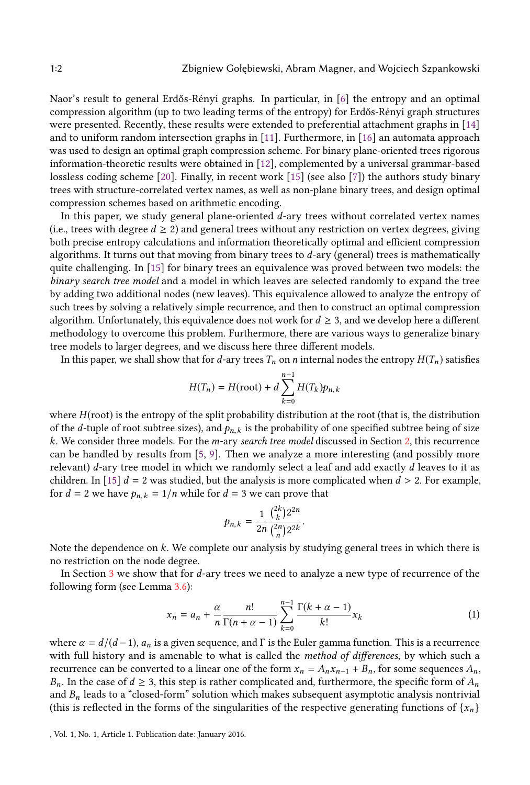Naor's result to general Erdős-Rényi graphs. In particular, in [\[6\]](#page-21-1) the entropy and an optimal compression algorithm (up to two leading terms of the entropy) for Erdős-Rényi graph structures were presented. Recently, these results were extended to preferential attachment graphs in [\[14\]](#page-21-7) and to uniform random intersection graphs in [\[11\]](#page-21-8). Furthermore, in [\[16\]](#page-21-9) an automata approach was used to design an optimal graph compression scheme. For binary plane-oriented trees rigorous information-theoretic results were obtained in [\[12\]](#page-21-5), complemented by a universal grammar-based lossless coding scheme [\[20\]](#page-21-6). Finally, in recent work [\[15\]](#page-21-3) (see also [\[7\]](#page-21-2)) the authors study binary trees with structure-correlated vertex names, as well as non-plane binary trees, and design optimal compression schemes based on arithmetic encoding.

In this paper, we study general plane-oriented d-ary trees without correlated vertex names (i.e., trees with degree  $d \geq 2$ ) and general trees without any restriction on vertex degrees, giving both precise entropy calculations and information theoretically optimal and efficient compression algorithms. It turns out that moving from binary trees to  $d$ -ary (general) trees is mathematically quite challenging. In [\[15\]](#page-21-3) for binary trees an equivalence was proved between two models: the binary search tree model and a model in which leaves are selected randomly to expand the tree by adding two additional nodes (new leaves). This equivalence allowed to analyze the entropy of such trees by solving a relatively simple recurrence, and then to construct an optimal compression algorithm. Unfortunately, this equivalence does not work for  $d \geq 3$ , and we develop here a different methodology to overcome this problem. Furthermore, there are various ways to generalize binary tree models to larger degrees, and we discuss here three different models.

In this paper, we shall show that for d-ary trees  $T_n$  on n internal nodes the entropy  $H(T_n)$  satisfies

$$
H(T_n) = H(\text{root}) + d \sum_{k=0}^{n-1} H(T_k) p_{n,k}
$$

where  $H$ (root) is the entropy of the split probability distribution at the root (that is, the distribution of the d-tuple of root subtree sizes), and  $p_{n,k}$  is the probability of one specified subtree being of size k. We consider three models. For the m-ary search tree model discussed in Section [2,](#page-2-0) this recurrence can be handled by results from [\[5,](#page-21-10) [9\]](#page-21-11). Then we analyze a more interesting (and possibly more relevant)  $d$ -ary tree model in which we randomly select a leaf and add exactly  $d$  leaves to it as children. In [\[15\]](#page-21-3)  $d = 2$  was studied, but the analysis is more complicated when  $d > 2$ . For example, for  $d = 2$  we have  $p_{n,k} = 1/n$  while for  $d = 3$  we can prove that

$$
p_{n,k}=\frac{1}{2n}\frac{\binom{2k}{k}2^{2n}}{\binom{2n}{n}2^{2k}}.
$$

Note the dependence on  $k$ . We complete our analysis by studying general trees in which there is no restriction on the node degree no restriction on the node degree.

In Section [3](#page-5-0) we show that for d-ary trees we need to analyze a new type of recurrence of the following form (see Lemma [3.6\)](#page-9-0):

$$
x_n = a_n + \frac{\alpha}{n} \frac{n!}{\Gamma(n + \alpha - 1)} \sum_{k=0}^{n-1} \frac{\Gamma(k + \alpha - 1)}{k!} x_k
$$
 (1)

where  $\alpha = d/(d-1)$ ,  $a_n$  is a given sequence, and Γ is the Euler gamma function. This is a recurrence<br>with full history and is amenable to what is called the *method of differences* by which such a with full history and is amenable to what is called the *method of differences*, by which such a recurrence can be converted to a linear one of the form  $x_n = A_n x_{n-1} + B_n$ , for some sequences  $A_n$ ,  $B_n$ . In the case of  $d \geq 3$ , this step is rather complicated and, furthermore, the specific form of  $A_n$ and  $B_n$  leads to a "closed-form" solution which makes subsequent asymptotic analysis nontrivial (this is reflected in the forms of the singularities of the respective generating functions of  $\{x_n\}$ )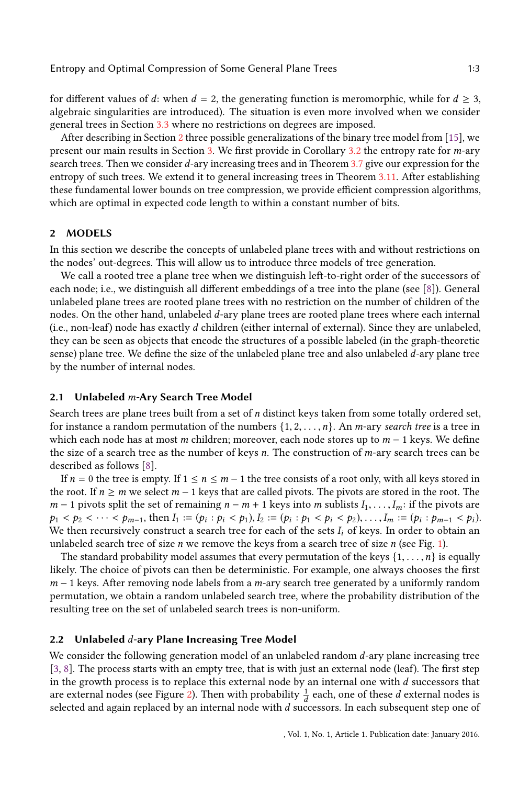for different values of d: when  $d = 2$ , the generating function is meromorphic, while for  $d \geq 3$ , algebraic singularities are introduced). The situation is even more involved when we consider general trees in Section [3.3](#page-11-0) where no restrictions on degrees are imposed.

After describing in Section [2](#page-2-0) three possible generalizations of the binary tree model from [\[15\]](#page-21-3), we present our main results in Section [3.](#page-5-0) We first provide in Corollary [3.2](#page-7-0) the entropy rate for *m*-ary search trees. Then we consider d-ary increasing trees and in Theorem [3.7](#page-10-0) give our expression for the entropy of such trees. We extend it to general increasing trees in Theorem [3.11.](#page-13-0) After establishing these fundamental lower bounds on tree compression, we provide efficient compression algorithms, which are optimal in expected code length to within a constant number of bits.

## <span id="page-2-0"></span>2 MODELS

In this section we describe the concepts of unlabeled plane trees with and without restrictions on the nodes' out-degrees. This will allow us to introduce three models of tree generation.

We call a rooted tree a plane tree when we distinguish left-to-right order of the successors of each node; i.e., we distinguish all different embeddings of a tree into the plane (see [\[8\]](#page-21-12)). General unlabeled plane trees are rooted plane trees with no restriction on the number of children of the nodes. On the other hand, unlabeled d-ary plane trees are rooted plane trees where each internal (i.e., non-leaf) node has exactly  $d$  children (either internal of external). Since they are unlabeled, they can be seen as objects that encode the structures of a possible labeled (in the graph-theoretic sense) plane tree. We define the size of the unlabeled plane tree and also unlabeled  $d$ -ary plane tree by the number of internal nodes.

#### 2.1 Unlabeled m-Ary Search Tree Model

Search trees are plane trees built from a set of n distinct keys taken from some totally ordered set, for instance a random permutation of the numbers  $\{1, 2, \ldots, n\}$ . An *m*-ary *search tree* is a tree in which each node has at most m children; moreover, each node stores up to  $m - 1$  keys. We define the size of a search tree as the number of keys  $n$ . The construction of  $m$ -ary search trees can be described as follows [\[8\]](#page-21-12).

If  $n = 0$  the tree is empty. If  $1 \le n \le m - 1$  the tree consists of a root only, with all keys stored in the root. If  $n \ge m$  we select  $m - 1$  keys that are called pivots. The pivots are stored in the root. The  $m-1$  pivots split the set of remaining  $n-m+1$  keys into m sublists  $I_1, \ldots, I_m$ : if the pivots are  $p_1 < p_2 < \cdots < p_{m-1}$ , then  $I_1 := (p_i : p_i < p_1), I_2 := (p_i : p_1 < p_i < p_2), \ldots, I_m := (p_i : p_{m-1} < p_i)$ .<br>We then recursively construct a search tree for each of the sets L of keys. In order to obtain an We then recursively construct a search tree for each of the sets  $I_i$  of keys. In order to obtain an unlabeled search tree of size  $n$  we remove the keys from a search tree of size  $n$  (see Fig. [1\)](#page-3-0).

The standard probability model assumes that every permutation of the keys  $\{1, \ldots, n\}$  is equally likely. The choice of pivots can then be deterministic. For example, one always chooses the first  $m-1$  keys. After removing node labels from a m-ary search tree generated by a uniformly random permutation, we obtain a random unlabeled search tree, where the probability distribution of the resulting tree on the set of unlabeled search trees is non-uniform.

# 2.2 Unlabeled  $d$ -ary Plane Increasing Tree Model

We consider the following generation model of an unlabeled random d-ary plane increasing tree  $[3, 8]$  $[3, 8]$  $[3, 8]$ . The process starts with an empty tree, that is with just an external node (leaf). The first step in the growth process is to replace this external node by an internal one with d successors that are external nodes (see Figure [2\)](#page-4-0). Then with probability  $\frac{1}{d}$  each, one of these d external nodes is<br>selected and again replaced by an internal node with d successors. In each subsequent step one of selected and again replaced by an internal node with  $d$  successors. In each subsequent step one of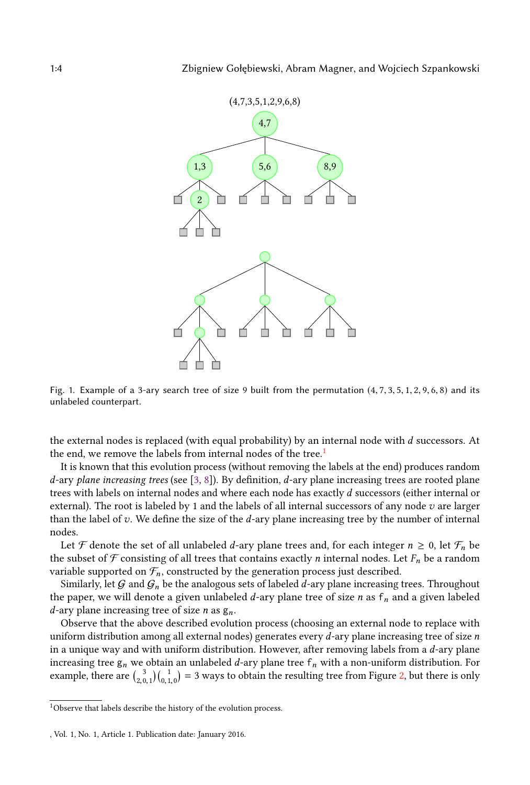<span id="page-3-0"></span>

Fig. 1. Example of a 3-ary search tree of size 9 built from the permutation  $(4, 7, 3, 5, 1, 2, 9, 6, 8)$  and its unlabeled counterpart.

the external nodes is replaced (with equal probability) by an internal node with d successors. At the end, we remove the labels from internal nodes of the tree.<sup>[1](#page-3-1)</sup>

It is known that this evolution process (without removing the labels at the end) produces random  $d$ -ary plane increasing trees (see [\[3,](#page-21-13) [8\]](#page-21-12)). By definition,  $d$ -ary plane increasing trees are rooted plane trees with labels on internal nodes and where each node has exactly d successors (either internal or external). The root is labeled by 1 and the labels of all internal successors of any node  $v$  are larger than the label of  $v$ . We define the size of the  $d$ -ary plane increasing tree by the number of internal nodes.

Let F denote the set of all unlabeled d-ary plane trees and, for each integer  $n \geq 0$ , let  $\mathcal{F}_n$  be the subset of F consisting of all trees that contains exactly *n* internal nodes. Let  $F_n$  be a random variable supported on  $\mathcal{F}_n$ , constructed by the generation process just described.

Similarly, let  $G$  and  $G_n$  be the analogous sets of labeled d-ary plane increasing trees. Throughout the paper, we will denote a given unlabeled  $d$ -ary plane tree of size  $n$  as  $f_n$  and a given labeled d-ary plane increasing tree of size *n* as  $g_n$ .

Observe that the above described evolution process (choosing an external node to replace with uniform distribution among all external nodes) generates every  $d$ -ary plane increasing tree of size  $n$ in a unique way and with uniform distribution. However, after removing labels from a  $d$ -ary plane increasing tree  $g_n$  we obtain an unlabeled d-ary plane tree  $f_n$  with a non-uniform distribution. For example, there are  $\binom{3}{2,0,1}\binom{1}{0,1,0} = 3$  $\binom{3}{2,0,1}\binom{1}{0,1,0} = 3$  $\binom{3}{2,0,1}\binom{1}{0,1,0} = 3$  ways to obtain the resulting tree from Figure 2, but there is only

<span id="page-3-1"></span> $^{\rm 1}{\rm Observe}$  that labels describe the history of the evolution process.

<sup>,</sup> Vol. 1, No. 1, Article 1. Publication date: January 2016.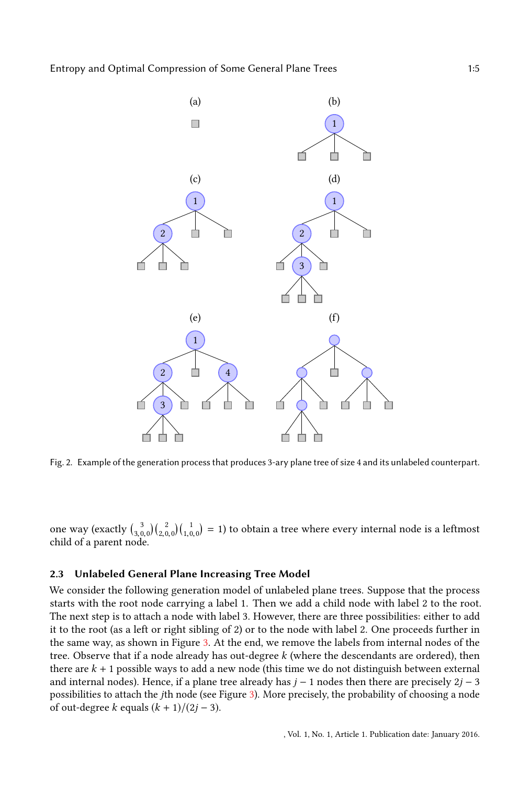<span id="page-4-0"></span>

Fig. 2. Example of the generation process that produces 3-ary plane tree of size 4 and its unlabeled counterpart.

one way  $\left(\text{exactly } \binom{3}{3,0,0} \binom{2}{2,0,0} \binom{1}{1,0,0} = 1\right)$  to obtain a tree where every internal node is a leftmost child of a parent node.

# 2.3 Unlabeled General Plane Increasing Tree Model

We consider the following generation model of unlabeled plane trees. Suppose that the process starts with the root node carrying a label 1. Then we add a child node with label 2 to the root. The next step is to attach a node with label 3. However, there are three possibilities: either to add it to the root (as a left or right sibling of 2) or to the node with label 2. One proceeds further in the same way, as shown in Figure [3.](#page-5-1) At the end, we remove the labels from internal nodes of the tree. Observe that if a node already has out-degree  $k$  (where the descendants are ordered), then there are  $k + 1$  possible ways to add a new node (this time we do not distinguish between external and internal nodes). Hence, if a plane tree already has  $j - 1$  nodes then there are precisely  $2j - 3$ possibilities to attach the jth node (see Figure [3\)](#page-5-1). More precisely, the probability of choosing a node of out-degree k equals  $(k + 1)/(2j - 3)$ .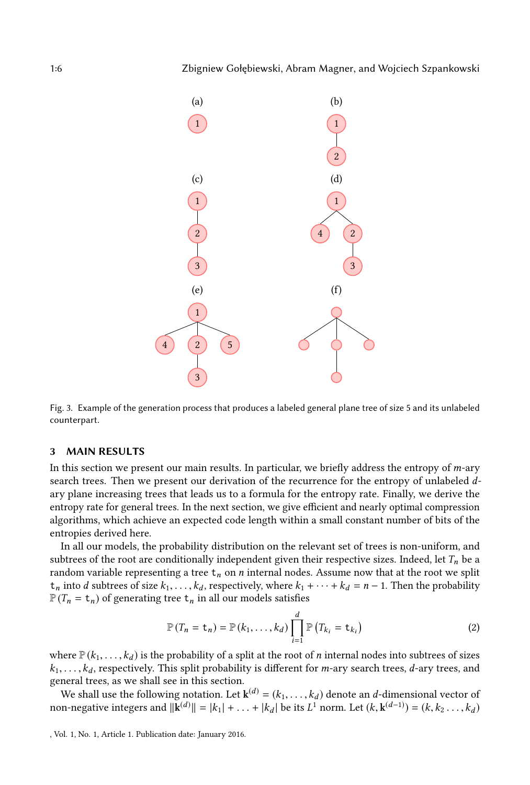<span id="page-5-1"></span>

Fig. 3. Example of the generation process that produces a labeled general plane tree of size 5 and its unlabeled counterpart.

#### <span id="page-5-0"></span>3 MAIN RESULTS

In this section we present our main results. In particular, we briefly address the entropy of  $m$ -ary search trees. Then we present our derivation of the recurrence for the entropy of unlabeled  $d$ ary plane increasing trees that leads us to a formula for the entropy rate. Finally, we derive the entropy rate for general trees. In the next section, we give efficient and nearly optimal compression algorithms, which achieve an expected code length within a small constant number of bits of the entropies derived here.

In all our models, the probability distribution on the relevant set of trees is non-uniform, and subtrees of the root are conditionally independent given their respective sizes. Indeed, let  $T_n$  be a random variable representing a tree  $t_n$  on n internal nodes. Assume now that at the root we split  $t_n$  into d subtrees of size  $k_1, \ldots, k_d$ , respectively, where  $k_1 + \cdots + k_d = n - 1$ . Then the probability  $\mathbb{P}(T_n = t_n)$  of generating tree  $t_n$  in all our models satisfies

<span id="page-5-2"></span>
$$
\mathbb{P}(T_n = \mathbf{t}_n) = \mathbb{P}(k_1, \dots, k_d) \prod_{i=1}^d \mathbb{P}(T_{k_i} = \mathbf{t}_{k_i})
$$
\n(2)

where  $\mathbb{P}(k_1,\ldots,k_d)$  is the probability of a split at the root of *n* internal nodes into subtrees of sizes  $k_1, \ldots, k_d$ , respectively. This split probability is different for *m*-ary search trees, *d*-ary trees, and general trees, as we shall see in this section.

We shall use the following notation. Let  $\mathbf{k}^{(d)} = (k_1, \ldots, k_d)$  denote an *d*-dimensional vector of n-negative integers and  $\|\mathbf{k}^{(d)}\| = |k_1| + |k_2|$  be its  $I^1$  norm. Let  $(k, \mathbf{k}^{(d-1)}) = (k, k_2, \ldots, k_d)$ non-negative integers and  $\|\mathbf{k}^{(d)}\| = |k_1| + \ldots + |k_d|$  be its  $L^1$  norm. Let  $(k, \mathbf{k}^{(d-1)}) = (k, k_2, \ldots, k_d)$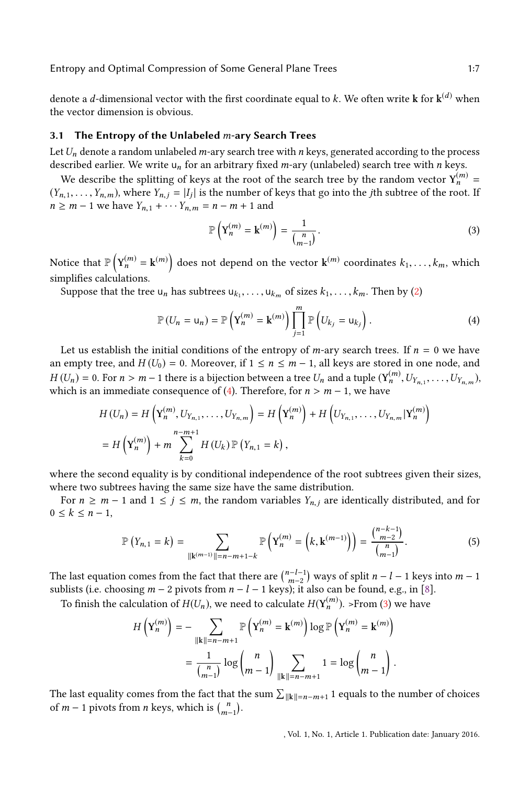Entropy and Optimal Compression of Some General Plane Trees 1:7

denote a *d*-dimensional vector with the first coordinate equal to *k*. We often write **k** for  $\mathbf{k}^{(d)}$  when the vector dimension is obvious the vector dimension is obvious.

#### 3.1 The Entropy of the Unlabeled  $m$ -ary Search Trees

Let  $U_n$  denote a random unlabeled *m*-ary search tree with *n* keys, generated according to the process described earlier. We write  $u_n$  for an arbitrary fixed m-ary (unlabeled) search tree with n keys.

We describe the splitting of keys at the root of the search tree by the random vector  $Y_n^{(m)} =$ <br> $Y_n$  where  $Y_{n-1} = |I_n|$  is the number of keys that go into the *i*th subtree of the root. If  $(Y_{n,1}, \ldots, Y_{n,m})$ , where  $Y_{n,j} = |I_j|$  is the number of keys that go into the *j*th subtree of the root. If  $n \ge m-1$  we have  $Y_{n+1} + \cdots Y_{n} = n-m+1$  and  $n \ge m - 1$  we have  $Y_{n,1} + \cdots Y_{n,m} = n - m + 1$  and

<span id="page-6-1"></span><span id="page-6-0"></span>
$$
\mathbb{P}\left(\mathbf{Y}_n^{(m)} = \mathbf{k}^{(m)}\right) = \frac{1}{\binom{n}{m-1}}.
$$
\n(3)

Notice that  $\mathbb{P}\left(\mathbf{Y}_n^{(m)} = \mathbf{k}^{(m)}\right)$  does not depend on the vector  $\mathbf{k}^{(m)}$  coordinates  $k_1, \ldots, k_m$ , which simplifies calculations.

Suppose that the tree  $u_n$  has subtrees  $u_{k_1}, \ldots, u_{k_m}$  of sizes  $k_1, \ldots, k_m$ . Then by [\(2\)](#page-5-2)

$$
\mathbb{P}\left(U_n = \mathsf{u}_n\right) = \mathbb{P}\left(\mathbf{Y}_n^{(m)} = \mathbf{k}^{(m)}\right) \prod_{j=1}^m \mathbb{P}\left(U_{k_j} = \mathsf{u}_{k_j}\right). \tag{4}
$$

Let us establish the initial conditions of the entropy of m-ary search trees. If  $n = 0$  we have an empty tree, and  $H(U_0) = 0$ . Moreover, if  $1 \le n \le m - 1$ , all keys are stored in one node, and  $H(U_n) = 0$ . For  $n > m - 1$  there is a bijection between a tree  $U_n$  and a tuple  $(\mathbf{Y}_n^{(m)}, U_{Y_{n,1}}, \ldots, U_{Y_{n,m}})$ , which is an immediate consequence of (4). Therefore, for  $n > m - 1$  we have which is an immediate consequence of [\(4\)](#page-6-0). Therefore, for  $n > m - 1$ , we have

$$
H(U_n) = H\left(Y_n^{(m)}, U_{Y_{n,1}}, \dots, U_{Y_{n,m}}\right) = H\left(Y_n^{(m)}\right) + H\left(U_{Y_{n,1}}, \dots, U_{Y_{n,m}}|Y_n^{(m)}\right)
$$
  
=  $H\left(Y_n^{(m)}\right) + m \sum_{k=0}^{n-m+1} H(U_k) \mathbb{P}\left(Y_{n,1} = k\right),$ 

where the second equality is by conditional independence of the root subtrees given their sizes, where two subtrees having the same size have the same distribution.

For  $n \geq m - 1$  and  $1 \leq j \leq m$ , the random variables  $Y_{n,j}$  are identically distributed, and for  $0 \leq k \leq n-1$ ,

$$
\mathbb{P}\left(Y_{n,1}=k\right)=\sum_{\|\mathbf{k}^{(m-1)}\|=n-m+1-k}\mathbb{P}\left(\mathbf{Y}_{n}^{(m)}=\left(k,\mathbf{k}^{(m-1)}\right)\right)=\frac{\binom{n-k-1}{m-2}}{\binom{n}{m-1}}.\tag{5}
$$

The last equation comes from the fact that there are  $\binom{n-l-1}{m-2}$  ways of split  $n-l-1$  keys into  $m-1$  sublists (i.e. choosing  $m-2$  pivots from  $n-l-1$  keys): it also can be found e.g. in [8] sublists (i.e. choosing  $m - 2$  pivots from  $n - l - 1$  keys); it also can be found, e.g., in [\[8\]](#page-21-12).

To finish the calculation of  $H(U_n)$ , we need to calculate  $H(\mathbf{Y}_n^{(m)})$ . >From [\(3\)](#page-6-1) we have

$$
H\left(\mathbf{Y}_n^{(m)}\right) = -\sum_{\|\mathbf{k}\|=n-m+1} \mathbb{P}\left(\mathbf{Y}_n^{(m)} = \mathbf{k}^{(m)}\right) \log \mathbb{P}\left(\mathbf{Y}_n^{(m)} = \mathbf{k}^{(m)}\right)
$$

$$
= \frac{1}{\binom{n}{m-1}} \log \binom{n}{m-1} \sum_{\|\mathbf{k}\|=n-m+1} 1 = \log \binom{n}{m-1}.
$$

The last equality comes from the fact that the sum  $\sum_{\|\mathbf{k}\|=n-m+1} 1$  equals to the number of choices of *m* − 1 pivots from *n* keys, which is  $\binom{n}{m-1}$ .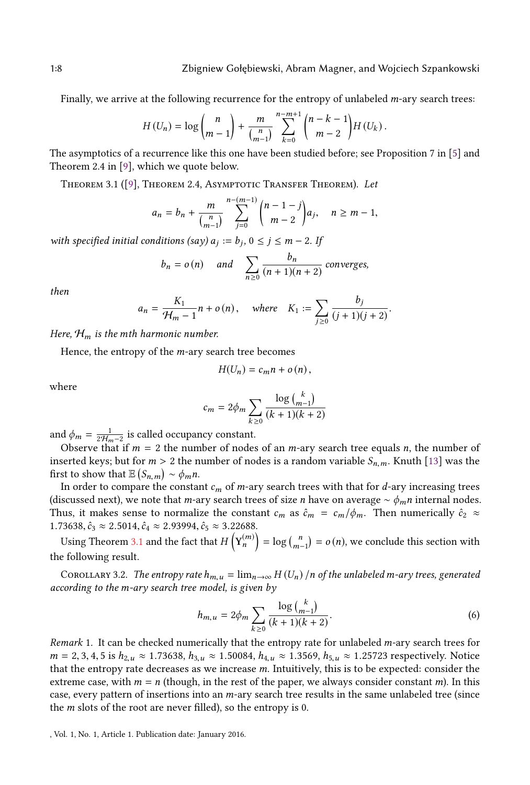Finally, we arrive at the following recurrence for the entropy of unlabeled  $m$ -ary search trees:

$$
H(U_n) = \log \binom{n}{m-1} + \frac{m}{\binom{n}{m-1}} \sum_{k=0}^{n-m+1} \binom{n-k-1}{m-2} H(U_k).
$$

 $\frac{(m-1)}{(m-1)}$   $\frac{(m-1)}{k=0}$   $\frac{(m-2)}{(m-2)}$ <br>The asymptotics of a recurrence like this one have been studied before; see Proposition 7 in [\[5\]](#page-21-10) and Theorem 2.4 in [\[9\]](#page-21-11), which we quote below.

<span id="page-7-1"></span>THEOREM 3.1 ([\[9\]](#page-21-11), THEOREM 2.4, ASYMPTOTIC TRANSFER THEOREM). Let

$$
a_n = b_n + \frac{m}{\binom{n}{m-1}} \sum_{j=0}^{n-(m-1)} \binom{n-1-j}{m-2} a_j, \quad n \ge m-1,
$$

with specified initial conditions  $(say) a_j := b_j$ ,  $0 \le j \le m - 2$ . If

$$
b_n = o(n)
$$
 and  $\sum_{n \ge 0} \frac{b_n}{(n+1)(n+2)}$  converges,

then

$$
a_n = \frac{K_1}{\mathcal{H}_m - 1} n + o(n), \quad \text{where} \quad K_1 := \sum_{j \ge 0} \frac{b_j}{(j+1)(j+2)}.
$$

Here,  $\mathcal{H}_m$  is the mth harmonic number.

Hence, the entropy of the m-ary search tree becomes

$$
H(U_n)=c_m n+o(n),
$$

where

$$
c_m = 2\phi_m \sum_{k \ge 0} \frac{\log {k \choose m-1}}{(k+1)(k+2)}
$$

and  $\phi_m = \frac{1}{2H_m-2}$  is called occupancy constant.

Observe that if  $m = 2$  the number of nodes of an *m*-ary search tree equals *n*, the number of inserted keys; but for  $m > 2$  the number of nodes is a random variable  $S_{n,m}$ . Knuth [\[13\]](#page-21-14) was the first to show that  $\mathbb{E}(S_{n,m}) \sim \phi_m n$ .<br>In order to compare the constant

In order to compare the constant  $c_m$  of m-ary search trees with that for d-ary increasing trees<br>scussed next), we note that m-ary search trees of size n have on average  $\sim \phi$ , n internal nodes (discussed next), we note that *m*-ary search trees of size *n* have on average  $\sim \phi_m n$  internal nodes. Thus, it makes sense to normalize the constant  $c_m$  as  $\hat{c}_m = c_m/\phi_m$ . Then numerically  $\hat{c}_2 \approx$ 1.73638,  $\hat{c}_3 \approx 2.5014$ ,  $\hat{c}_4 \approx 2.93994$ ,  $\hat{c}_5 \approx 3.22688$ .

Using Theorem [3.1](#page-7-1) and the fact that  $H\left(Y_n^{(m)}\right)$  $= \log {n \choose m-1} = o(n)$ , we conclude this section with the following result.

<span id="page-7-0"></span>COROLLARY 3.2. The entropy rate  $h_{m,u} = \lim_{n\to\infty} H(U_n)$  /n of the unlabeled m-ary trees, generated according to the m-ary search tree model, is given by

$$
h_{m,u} = 2\phi_m \sum_{k \ge 0} \frac{\log {k \choose m-1}}{(k+1)(k+2)}.
$$
 (6)

Remark 1. It can be checked numerically that the entropy rate for unlabeled  $m$ -ary search trees for  $m = 2, 3, 4, 5$  is  $h_{2,u} \approx 1.73638$ ,  $h_{3,u} \approx 1.50084$ ,  $h_{4,u} \approx 1.3569$ ,  $h_{5,u} \approx 1.25723$  respectively. Notice that the entropy rate decreases as we increase m. Intuitively, this is to be expected: consider the extreme case, with  $m = n$  (though, in the rest of the paper, we always consider constant m). In this case, every pattern of insertions into an m-ary search tree results in the same unlabeled tree (since the  $m$  slots of the root are never filled), so the entropy is 0.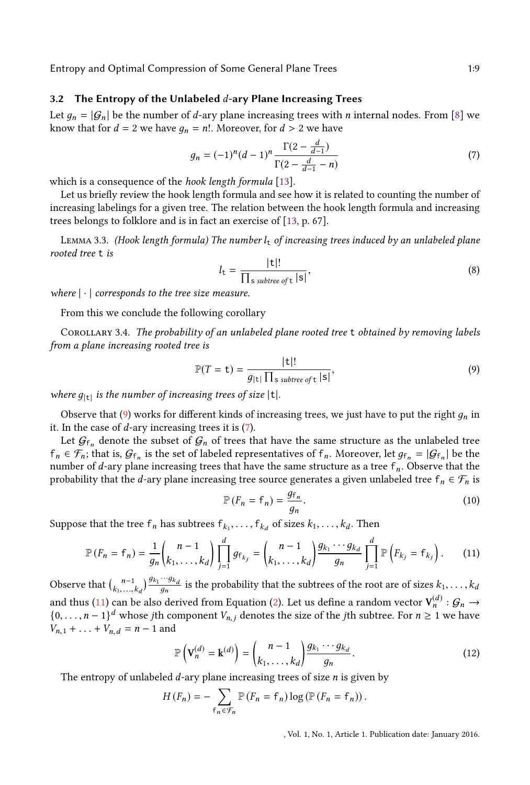#### 3.2 The Entropy of the Unlabeled  $d$ -ary Plane Increasing Trees

Let  $q_n = |G_n|$  be the number of d-ary plane increasing trees with n internal nodes. From [\[8\]](#page-21-12) we know that for  $d = 2$  we have  $g_n = n!$ . Moreover, for  $d > 2$  we have

<span id="page-8-1"></span>
$$
g_n = (-1)^n (d-1)^n \frac{\Gamma(2 - \frac{d}{d-1})}{\Gamma(2 - \frac{d}{d-1} - n)}
$$
(7)

which is a consequence of the *hook length formula* [\[13\]](#page-21-14).

Let us briefly review the hook length formula and see how it is related to counting the number of increasing labelings for a given tree. The relation between the hook length formula and increasing trees belongs to folklore and is in fact an exercise of [\[13,](#page-21-14) p. 67].

LEMMA 3.3. (Hook length formula) The number  $l_t$  of increasing trees induced by an unlabeled plane rooted tree t is

$$
l_{t} = \frac{|t|!}{\prod_{s \text{ subtree of } t} |s|},\tag{8}
$$

where  $|\cdot|$  corresponds to the tree size measure.

From this we conclude the following corollary

Corollary 3.4. The probability of an unlabeled plane rooted tree t obtained by removing labels from a plane increasing rooted tree is

<span id="page-8-0"></span>
$$
\mathbb{P}(T = \mathbf{t}) = \frac{|\mathbf{t}|!}{g_{|\mathbf{t}|} \prod_{s \text{ subtree of } \mathbf{t}} |s|},\tag{9}
$$

where  $g_{|t|}$  is the number of increasing trees of size  $|t|$ .

Observe that [\(9\)](#page-8-0) works for different kinds of increasing trees, we just have to put the right  $q_n$  in it. In the case of  $d$ -ary increasing trees it is  $(7)$ .

Let  $\mathcal{G}_{f_n}$  denote the subset of  $\mathcal{G}_n$  of trees that have the same structure as the unlabeled tree  $f_n \in \mathcal{F}_n$ ; that is,  $\mathcal{G}_{f_n}$  is the set of labeled representatives of  $f_n$ . Moreover, let  $g_{f_n} = |\mathcal{G}_{f_n}|$  be the number of d-ary plane increasing trees that have the same structure as a tree f. Observe that the number of d-ary plane increasing trees that have the same structure as a tree  $f_n$ . Observe that the probability that the d-ary plane increasing tree source generates a given unlabeled tree  $f_n \in \mathcal{F}_n$  is

<span id="page-8-2"></span>
$$
\mathbb{P}\left(F_n = \mathsf{f}_n\right) = \frac{g_{\mathsf{f}_n}}{g_n}.\tag{10}
$$

Suppose that the tree  $f_n$  has subtrees  $f_{k_1}, \ldots, f_{k_d}$  of sizes  $k_1, \ldots, k_d$ . Then

$$
\mathbb{P}(F_n = f_n) = \frac{1}{g_n} {n-1 \choose k_1, \dots, k_d} \prod_{j=1}^d g_{f_{k_j}} = {n-1 \choose k_1, \dots, k_d} \frac{g_{k_1} \cdots g_{k_d}}{g_n} \prod_{j=1}^d \mathbb{P}(F_{k_j} = f_{k_j}).
$$
 (11)

Observe that  $\binom{n-1}{k_1,\dots,k_d} \frac{g_{k_1}\cdots g_{k_d}}{g_n}$  is the probability that the subtrees of the root are of sizes  $k_1,\dots,k_d$ and thus [\(11\)](#page-8-2) can be also derived from Equation [\(2\)](#page-5-2). Let us define a random vector  $V_n^{(d)}$ :  $G_n \rightarrow$ <br> $\begin{pmatrix} 0 & n-1 \end{pmatrix}^d$  whose it homponent V, denotes the size of the ith subtree. For  $n > 1$  we have  $\{0, \ldots, n-1\}^d$  whose jth component  $V_{n,j}$  denotes the size of the jth subtree. For  $n \ge 1$  we have  $V_{n,1} + \ldots + V_{n,d} = n - 1$  and

<span id="page-8-3"></span>
$$
\mathbb{P}\left(\mathbf{V}_{n}^{(d)}=\mathbf{k}^{(d)}\right)=\binom{n-1}{k_{1},\ldots,k_{d}}\frac{g_{k_{1}}\cdots g_{k_{d}}}{g_{n}}.\tag{12}
$$

The entropy of unlabeled *d*-ary plane increasing trees of size *n* is given by

$$
H(F_n) = -\sum_{\mathbf{f}_n \in \mathcal{F}_n} \mathbb{P}(F_n = \mathbf{f}_n) \log \left( \mathbb{P}(F_n = \mathbf{f}_n) \right).
$$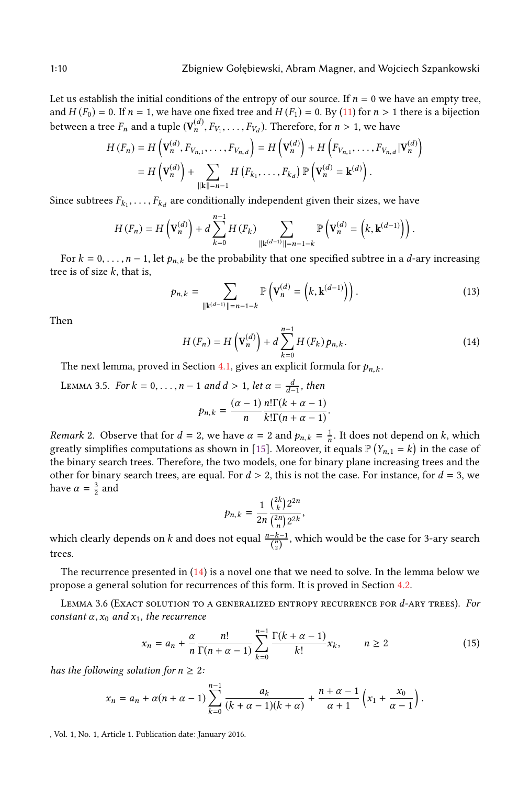Let us establish the initial conditions of the entropy of our source. If  $n = 0$  we have an empty tree, and  $H(F_0) = 0$ . If  $n = 1$ , we have one fixed tree and  $H(F_1) = 0$ . By [\(11\)](#page-8-2) for  $n > 1$  there is a bijection between a tree  $F_n$  and a tuple  $(\mathbf{V}_n^{(d)}, F_{V_1}, \ldots, F_{V_d})$ . Therefore, for  $n > 1$ , we have

$$
H(F_n) = H\left(\mathbf{V}_n^{(d)}, F_{V_{n,1}}, \dots, F_{V_{n,d}}\right) = H\left(\mathbf{V}_n^{(d)}\right) + H\left(F_{V_{n,1}}, \dots, F_{V_{n,d}} | \mathbf{V}_n^{(d)}\right)
$$
  
=  $H\left(\mathbf{V}_n^{(d)}\right) + \sum_{\|k\|=n-1} H\left(F_{k_1}, \dots, F_{k_d}\right) \mathbb{P}\left(\mathbf{V}_n^{(d)} = \mathbf{k}^{(d)}\right).$ 

Since subtrees  $F_{k_1}, \ldots, F_{k_d}$ are conditionally independent given their sizes, we have

$$
H(F_n) = H\left(\mathbf{V}_n^{(d)}\right) + d \sum_{k=0}^{n-1} H(F_k) \sum_{\|\mathbf{k}^{(d-1)}\| = n-1-k} \mathbb{P}\left(\mathbf{V}_n^{(d)} = \left(k, \mathbf{k}^{(d-1)}\right)\right).
$$

For  $k = 0, \ldots, n - 1$ , let  $p_{n,k}$  be the probability that one specified subtree in a *d*-ary increasing tree is of size  $k$ , that is,

<span id="page-9-3"></span>
$$
p_{n,k} = \sum_{\| \mathbf{k}^{(d-1)} \| = n-1-k} \mathbb{P}\left(\mathbf{V}_n^{(d)} = (k, \mathbf{k}^{(d-1)})\right). \tag{13}
$$

Then

<span id="page-9-1"></span>
$$
H(F_n) = H\left(\mathbf{V}_n^{(d)}\right) + d \sum_{k=0}^{n-1} H\left(F_k\right) p_{n,k}.
$$
\nSolution 4.1, gives any multi-likelihood for  $k$ .

\n(14)

The next lemma, proved in Section [4.1,](#page-18-0) gives an explicit formula for  $p_{n,k}$ .

<span id="page-9-2"></span>LEMMA 3.5. For 
$$
k = 0, ..., n - 1
$$
 and  $d > 1$ , let  $\alpha = \frac{d}{d-1}$ , then  

$$
p_{n,k} = \frac{(\alpha - 1)}{n} \frac{n! \Gamma(k + \alpha - 1)}{k! \Gamma(n + \alpha - 1)}.
$$

Remark 2. Observe that for  $d = 2$ , we have  $\alpha = 2$  and  $p_{n,k} = \frac{1}{n}$ . It does not depend on k, which greatly simplifies computations as shown in [\[15\]](#page-21-3). Moreover, it equals  $\mathbb{P}(Y_{n,1} = k)$  in the case of the binary search trees. Therefore, the two models, one for binary plane increasing trees and the the binary search trees. Therefore, the two models, one for binary plane increasing trees and the other for binary search trees, are equal. For  $d > 2$ , this is not the case. For instance, for  $d = 3$ , we have  $\alpha = \frac{3}{2}$  and

$$
p_{n,k}=\frac{1}{2n}\frac{\binom{2k}{k}2^{2n}}{\binom{2n}{n}2^{2k}},
$$

 $p_{n,k} = \frac{1}{2n} \frac{2n}{\binom{2n}{n} 2^{2k}}$ ,<br>which clearly depends on *k* and does not equal  $\frac{n-k-1}{\binom{n}{2}}$ , which would be the case for 3-ary search trees.

The recurrence presented in  $(14)$  is a novel one that we need to solve. In the lemma below we propose a general solution for recurrences of this form. It is proved in Section [4.2.](#page-18-1)

<span id="page-9-0"></span>LEMMA 3.6 (EXACT SOLUTION TO A GENERALIZED ENTROPY RECURRENCE FOR  $d$ -ARY TREES). For constant  $\alpha$ ,  $x_0$  and  $x_1$ , the recurrence

$$
x_n = a_n + \frac{\alpha}{n} \frac{n!}{\Gamma(n + \alpha - 1)} \sum_{k=0}^{n-1} \frac{\Gamma(k + \alpha - 1)}{k!} x_k, \qquad n \ge 2
$$
 (15)

has the following solution for  $n \geq 2$ :

$$
x_n = a_n + \alpha(n+\alpha-1) \sum_{k=0}^{n-1} \frac{a_k}{(k+\alpha-1)(k+\alpha)} + \frac{n+\alpha-1}{\alpha+1} \left( x_1 + \frac{x_0}{\alpha-1} \right).
$$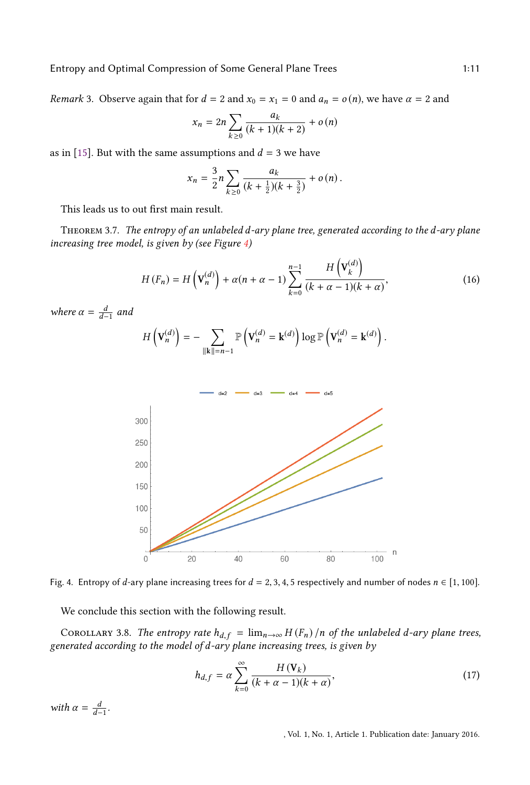*Remark* 3. Observe again that for  $d = 2$  and  $x_0 = x_1 = 0$  and  $a_n = o(n)$ , we have  $\alpha = 2$  and

$$
x_n = 2n \sum_{k \ge 0} \frac{a_k}{(k+1)(k+2)} + o(n)
$$

as in [\[15\]](#page-21-3). But with the same assumptions and  $d = 3$  we have

$$
x_n = \frac{3}{2}n \sum_{k \ge 0} \frac{a_k}{(k + \frac{1}{2})(k + \frac{3}{2})} + o(n).
$$

This leads us to out first main result.

<span id="page-10-0"></span>Theorem 3.7. The entropy of an unlabeled d-ary plane tree, generated according to the d-ary plane increasing tree model, is given by (see Figure [4\)](#page-10-1)

$$
H(F_n) = H\left(\mathbf{V}_n^{(d)}\right) + \alpha(n+\alpha-1) \sum_{k=0}^{n-1} \frac{H\left(\mathbf{V}_k^{(d)}\right)}{(k+\alpha-1)(k+\alpha)},\tag{16}
$$

<span id="page-10-1"></span>where  $\alpha = \frac{d}{d-1}$  and

$$
H\left(\mathbf{V}_n^{(d)}\right) = -\sum_{\|\mathbf{k}\|=n-1} \mathbb{P}\left(\mathbf{V}_n^{(d)} = \mathbf{k}^{(d)}\right) \log \mathbb{P}\left(\mathbf{V}_n^{(d)} = \mathbf{k}^{(d)}\right).
$$



Fig. 4. Entropy of d-ary plane increasing trees for  $d = 2, 3, 4, 5$  respectively and number of nodes  $n \in [1, 100]$ .

We conclude this section with the following result.

COROLLARY 3.8. The entropy rate  $h_{d,f} = \lim_{n \to \infty} H(F_n)/n$  of the unlabeled d-ary plane trees, generated according to the model of d-ary plane increasing trees, is given by

$$
h_{d,f} = \alpha \sum_{k=0}^{\infty} \frac{H(\mathbf{V}_k)}{(k+\alpha-1)(k+\alpha)},
$$
\n(17)

with  $\alpha = \frac{d}{d-1}$ .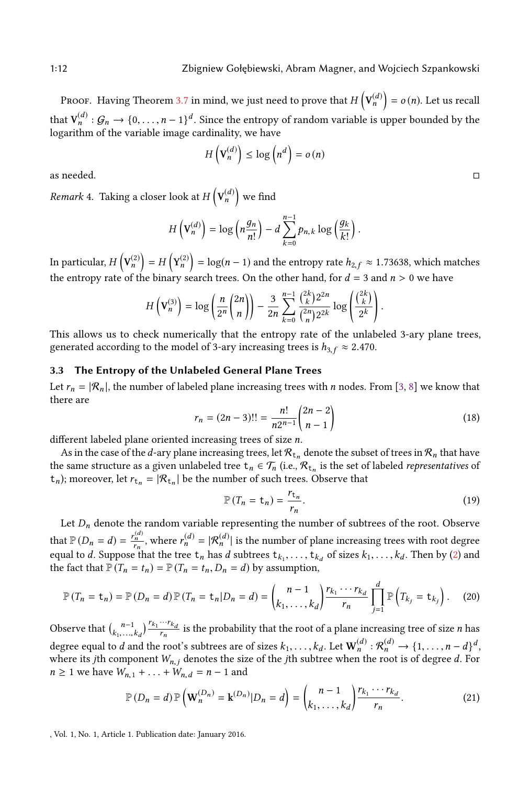PROOF. Having Theorem [3.7](#page-10-0) in mind, we just need to prove that  $H\left(\mathbf{V}_{n}^{(d)}\right)$  $= o (n)$ . Let us recall that  $V_n^{(d)}$ :  $G_n \to \{0, \ldots, n-1\}^d$ . Since the entropy of random variable is upper bounded by the logarithm of the variable image cardinality, we have logarithm of the variable image cardinality, we have

$$
H\left(\mathbf{V}_{n}^{(d)}\right) \leq \log\left(n^{d}\right) = o\left(n\right)
$$

as needed.

*Remark* 4. Taking a closer look at  $H\left(\mathbf{V}_{n}^{(d)}\right)$  $\vert$  we find

$$
H\left(\mathbf{V}_n^{(d)}\right) = \log\left(n\frac{g_n}{n!}\right) - d\sum_{k=0}^{n-1} p_{n,k} \log\left(\frac{g_k}{k!}\right).
$$

In particular,  $H\left(V_n^{(2)}\right) = H\left(Y_n^{(2)}\right) = \log(n-1)$  and the entropy rate  $h_{2,f} \approx 1.73638$ , which matches the entropy rate of the binary search trees. On the other hand, for  $d = 3$  and  $n > 0$  we have

$$
H\left(\mathbf{V}_{n}^{(3)}\right) = \log\left(\frac{n}{2^{n}}\binom{2n}{n}\right) - \frac{3}{2n}\sum_{k=0}^{n-1}\frac{\binom{2k}{k}2^{2n}}{\binom{2n}{n}2^{2k}}\log\left(\frac{\binom{2k}{k}}{2^{k}}\right).
$$

This allows us to check numerically that the entropy rate of the unlabeled 3-ary plane trees, generated according to the model of 3-ary increasing trees is  $h_{3,f} \approx 2.470$ .

## <span id="page-11-0"></span>3.3 The Entropy of the Unlabeled General Plane Trees

Let  $r_n = |\mathcal{R}_n|$ , the number of labeled plane increasing trees with n nodes. From [\[3,](#page-21-13) [8\]](#page-21-12) we know that there are

<span id="page-11-3"></span>
$$
r_n = (2n - 3)!! = \frac{n!}{n2^{n-1}} \binom{2n-2}{n-1}
$$
\n(18)

different labeled plane oriented increasing trees of size *n*.<br>As in the case of the *d*-ary plane increasing trees, let  $\Re$ .

As in the case of the *d*-ary plane increasing trees, let  $\mathcal{R}_{t_n}$  denote the subset of trees in  $\mathcal{R}_n$  that have the same structure as a given unlabeled tree  $t_n \in T_n$  (i.e.,  $\mathcal{R}_{t_n}$  is the set of labeled *representatives* of  $(t_n)$ ; moreover, let  $r_{t_n} = |\mathcal{R}_{t_n}|$  be the number of such trees. Observe that

<span id="page-11-2"></span><span id="page-11-1"></span>
$$
\mathbb{P}\left(T_n = \mathbf{t}_n\right) = \frac{r_{\mathbf{t}_n}}{r_n}.\tag{19}
$$

Let  $D_n$  denote the random variable representing the number of subtrees of the root. Observe that  $\mathbb{P}(D_n = d) = \frac{r}{2}$  $\frac{n}{n_n}$ , where  $r_n^{(d)} = |\mathcal{R}_n^{(d)}|$  is the number of plane increasing trees with root degree equal to d. Suppose that the tree  $t_n$  has d subtrees  $t_{k_1}, \ldots, t_{k_d}$  of sizes  $k_1, \ldots, k_d$ . Then by [\(2\)](#page-5-2) and the fact that  $\mathbb{P}(T - t) - \mathbb{P}(T - t) = d$  by assumption the fact that  $\mathbb{P}(T_n = t_n) = \mathbb{P}(T_n = t_n, D_n = d)$  by assumption,

$$
\mathbb{P}\left(T_n=\mathsf{t}_n\right)=\mathbb{P}\left(D_n=d\right)\mathbb{P}\left(T_n=\mathsf{t}_n\middle|D_n=d\right)=\binom{n-1}{k_1,\ldots,k_d}\frac{r_{k_1}\cdots r_{k_d}}{r_n}\prod_{j=1}^d\mathbb{P}\left(T_{k_j}=\mathsf{t}_{k_j}\right). \tag{20}
$$

Observe that  $\binom{n-1}{k_1,\dots,k_d}$  $\int_{r_n}^{r_{k_1}\cdots r_{k_d}}$  is the probability that the root of a plane increasing tree of size *n* has degree equal to d and the root's subtrees are of sizes  $k_1, \ldots, k_d$ . Let  $\mathbf{W}_n^{(d)} : \mathcal{R}_n^{(d)} \to \{1, \ldots, n-d\}^d$ ,<br>where its *i*th component  $W$  , denotes the size of the *i*th subtree when the root is of degree d. For where its jth component  $W_{n,j}$  denotes the size of the jth subtree when the root is of degree d. For  $n \ge 1$  we have  $W_{n,1} + ... + W_{n,d} = n - 1$  and

$$
\mathbb{P}\left(D_n=d\right)\mathbb{P}\left(\mathbf{W}_n^{(D_n)}=\mathbf{k}^{(D_n)}|D_n=d\right)=\binom{n-1}{k_1,\ldots,k_d}\frac{r_{k_1}\cdots r_{k_d}}{r_n}.\tag{21}
$$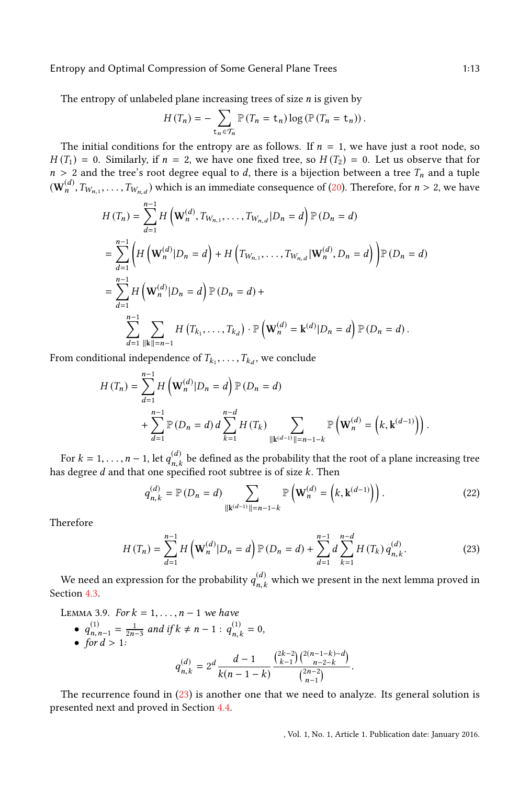Entropy and Optimal Compression of Some General Plane Trees 1:13

The entropy of unlabeled plane increasing trees of size  $n$  is given by

$$
H(T_n) = -\sum_{\mathbf{t}_n \in \mathcal{T}_n} \mathbb{P}(T_n = \mathbf{t}_n) \log \left( \mathbb{P}(T_n = \mathbf{t}_n) \right).
$$

The initial conditions for the entropy are as follows. If  $n = 1$ , we have just a root node, so  $H(T_1) = 0$ . Similarly, if  $n = 2$ , we have one fixed tree, so  $H(T_2) = 0$ . Let us observe that for  $n > 2$  and the tree's root degree equal to d, there is a bijection between a tree  $T_n$  and a tuple  $(\mathbf{W}_n^{(d)}, T_{W_{n,1}}, \ldots, T_{W_{n,d}})$  which is an immediate consequence of [\(20\)](#page-11-1). Therefore, for  $n > 2$ , we have

$$
H(T_n) = \sum_{d=1}^{n-1} H\left(\mathbf{W}_n^{(d)}, T_{W_{n,1}}, \dots, T_{W_{n,d}} | D_n = d\right) \mathbb{P} (D_n = d)
$$
  
= 
$$
\sum_{d=1}^{n-1} \left( H\left(\mathbf{W}_n^{(d)} | D_n = d\right) + H\left(T_{W_{n,1}}, \dots, T_{W_{n,d}} | \mathbf{W}_n^{(d)}, D_n = d\right) \right) \mathbb{P} (D_n = d)
$$
  
= 
$$
\sum_{d=1}^{n-1} H\left(\mathbf{W}_n^{(d)} | D_n = d\right) \mathbb{P} (D_n = d) +
$$
  

$$
\sum_{d=1}^{n-1} \sum_{\|k\| = n-1} H\left(T_{k_1}, \dots, T_{k_d}\right) \cdot \mathbb{P} \left(\mathbf{W}_n^{(d)} = \mathbf{k}^{(d)} | D_n = d\right) \mathbb{P} (D_n = d).
$$

From conditional independence of  $T_{k_1}, \ldots, T_{k_d}$ , we conclude

$$
H(T_n) = \sum_{d=1}^{n-1} H\left(\mathbf{W}_n^{(d)} | D_n = d\right) \mathbb{P}\left(D_n = d\right)
$$
  
+ 
$$
\sum_{d=1}^{n-1} \mathbb{P}\left(D_n = d\right) d \sum_{k=1}^{n-d} H(T_k) \sum_{\| \mathbf{k}^{(d-1)} \| = n-1-k} \mathbb{P}\left(\mathbf{W}_n^{(d)} = \left(k, \mathbf{k}^{(d-1)}\right)\right).
$$

For  $k = 1, ..., n - 1$ , let  $q_{n,k}^{(d)}$  be defined as the probability that the root of a plane increasing tree has degree d and that one specified root subtree is of size k. Then

<span id="page-12-2"></span><span id="page-12-0"></span>
$$
q_{n,k}^{(d)} = \mathbb{P}(D_n = d) \sum_{\|\mathbf{k}^{(d-1)}\| = n-1-k} \mathbb{P}\left(\mathbf{W}_n^{(d)} = (k, \mathbf{k}^{(d-1)})\right). \tag{22}
$$

Therefore

$$
H(T_n) = \sum_{d=1}^{n-1} H\left(\mathbf{W}_n^{(d)} | D_n = d\right) \mathbb{P}\left(D_n = d\right) + \sum_{d=1}^{n-1} d \sum_{k=1}^{n-d} H\left(T_k\right) q_{n,k}^{(d)}.
$$
 (23)

We need an expression for the probability  $q_{n,k}^{(d)}$  which we present in the next lemma proved in  $d^3$ n,k Section [4.3.](#page-19-0)

<span id="page-12-1"></span>LEMMA 3.9. For  $k = 1, \ldots, n - 1$  we have •  $q_{n,i}^{(1)}$  $\sum_{n,n-1}^{(1)} = \frac{1}{2n-3}$  and if  $k \neq n-1$  :  $q_{n,k}^{(1)} = 0$ ,<br>or  $d > 1$ .

• 
$$
\text{for } d > 1:
$$
  
\n•  $\int \int_{n}^{2n-1} \frac{2n-3}{2n-3} \arctan \frac{1}{2} n \, dx$   
\n•  $\int_{1}^{2n-1} \frac{1}{2n-1} \left( \frac{2k-2}{k-1} \right) \left( \frac{2(n-1-k)-d}{n-2-k} \right)}{k(n-1-k)}$ 

The recurrence found in [\(23\)](#page-12-0) is another one that we need to analyze. Its general solution is presented next and proved in Section [4.4.](#page-20-0)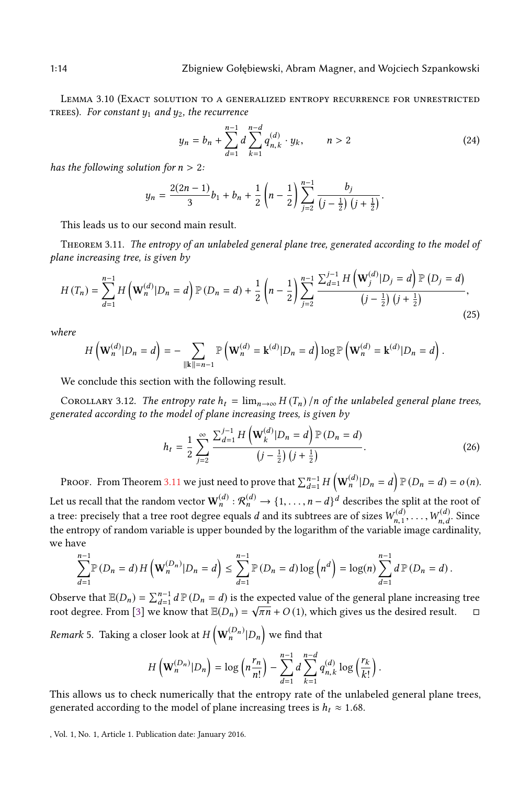<span id="page-13-1"></span>Lemma 3.10 (Exact solution to a generalized entropy recurrence for unrestricted TREES). For constant  $y_1$  and  $y_2$ , the recurrence

$$
y_n = b_n + \sum_{d=1}^{n-1} d \sum_{k=1}^{n-d} q_{n,k}^{(d)} \cdot y_k, \qquad n > 2
$$
 (24)

has the following solution for  $n > 2$ :

$$
y_n = \frac{2(2n-1)}{3}b_1 + b_n + \frac{1}{2}\left(n - \frac{1}{2}\right)\sum_{j=2}^{n-1} \frac{b_j}{(j-\frac{1}{2})\left(j+\frac{1}{2}\right)}.
$$

This leads us to our second main result.

<span id="page-13-0"></span>THEOREM 3.11. The entropy of an unlabeled general plane tree, generated according to the model of plane increasing tree, is given by

$$
H(T_n) = \sum_{d=1}^{n-1} H\left(\mathbf{W}_n^{(d)} | D_n = d\right) \mathbb{P}\left(D_n = d\right) + \frac{1}{2} \left(n - \frac{1}{2}\right) \sum_{j=2}^{n-1} \frac{\sum_{d=1}^{j-1} H\left(\mathbf{W}_j^{(d)} | D_j = d\right) \mathbb{P}\left(D_j = d\right)}{\left(j - \frac{1}{2}\right) \left(j + \frac{1}{2}\right)},\tag{25}
$$

where

$$
H\left(\mathbf{W}_{n}^{(d)}|D_{n}=d\right)=-\sum_{\|\mathbf{k}\|=n-1}\mathbb{P}\left(\mathbf{W}_{n}^{(d)}=\mathbf{k}^{(d)}|D_{n}=d\right)\log\mathbb{P}\left(\mathbf{W}_{n}^{(d)}=\mathbf{k}^{(d)}|D_{n}=d\right).
$$

We conclude this section with the following result.

COROLLARY 3.12. The entropy rate  $h_t = \lim_{n \to \infty} H(T_n)/n$  of the unlabeled general plane trees, generated according to the model of plane increasing trees, is given by

$$
h_{t} = \frac{1}{2} \sum_{j=2}^{\infty} \frac{\sum_{d=1}^{j-1} H\left(\mathbf{W}_{k}^{(d)} | D_{n} = d\right) \mathbb{P}\left(D_{n} = d\right)}{\left(j - \frac{1}{2}\right) \left(j + \frac{1}{2}\right)}.
$$
\n(26)

PROOF. From Theorem [3.11](#page-13-0) we just need to prove that  $\sum_{d=1}^{n-1} H\left(\mathbf{W}_n^{(d)} | D_n = d\right) \mathbb{P} (D_n = d) = o(n)$ . Let us recall that the random vector  $\mathbf{W}_n^{(d)} : \mathcal{R}_n^{(d)} \to \{1, \ldots, n-d\}^d$  describes the split at the root of a tree: precisely that a tree root degree equals  $d$  and its subtrees are of sizes  $W_{n,1}^{(d)},\ldots,W_{n,d}^{(d)}$ . Since<br>the entropy of random variable is upper bounded by the logarithm of the variable image cardinality the entropy of random variable is upper bounded by the logarithm of the variable image cardinality, we have

$$
\sum_{d=1}^{n-1} \mathbb{P}(D_n = d) H\left(\mathbf{W}_n^{(D_n)} | D_n = d\right) \le \sum_{d=1}^{n-1} \mathbb{P}(D_n = d) \log \left(n^d\right) = \log(n) \sum_{d=1}^{n-1} d \mathbb{P}(D_n = d).
$$

Observe that  $\mathbb{E}(D_n) = \sum_{d=1}^{n-1} d \mathbb{P}(D_n = d)$  is the expected value of the general plane increasing tree<br>root degree. From [3] we know that  $\mathbb{E}(D_n) = \sqrt{\pi n} + O(1)$ , which gives us the degree result root degree. From [\[3\]](#page-21-13) we know that  $\mathbb{E}(D_n) = \sqrt{\pi n} + O(1)$ , which gives us the desired result.  $\Box$ 

*Remark* 5. Taking a closer look at  $H\left(\mathbf{W}_{n}^{(D_{n})}|D_{n}\right)$  we find that

$$
H\left(\mathbf{W}_{n}^{(D_{n})}|D_{n}\right)=\log\left(n\frac{r_{n}}{n!}\right)-\sum_{d=1}^{n-1}d\sum_{k=1}^{n-d}q_{n,k}^{(d)}\log\left(\frac{r_{k}}{k!}\right).
$$

This allows us to check numerically that the entropy rate of the unlabeled general plane trees. generated according to the model of plane increasing trees is  $h_t \approx 1.68$ .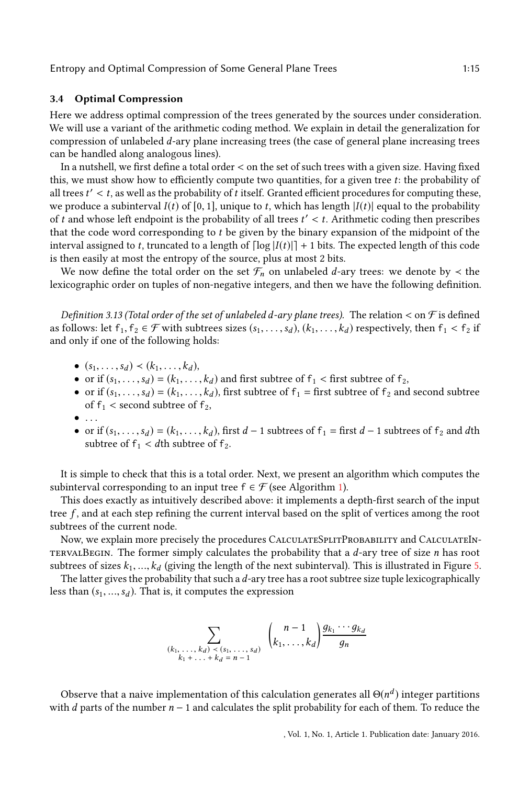#### 3.4 Optimal Compression

Here we address optimal compression of the trees generated by the sources under consideration. We will use a variant of the arithmetic coding method. We explain in detail the generalization for compression of unlabeled d-ary plane increasing trees (the case of general plane increasing trees can be handled along analogous lines).

In a nutshell, we first define a total order  $\lt$  on the set of such trees with a given size. Having fixed this, we must show how to efficiently compute two quantities, for a given tree  $t$ : the probability of all trees  $t' < t$ , as well as the probability of t itself. Granted efficient procedures for computing these, we produce a subinterval  $I(t)$  of [0, 1], unique to t, which has length  $|I(t)|$  equal to the probability we produce a subinterval  $I(t)$  of [0, 1], unique to t, which has length  $|I(t)|$  equal to the probability of t and whose left endpoint is the probability of all trees  $t' < t$ . Arithmetic coding then prescribes that the code word corresponding to t be given by the binary expansion of the midnoint of the that the code word corresponding to t be given by the binary expansion of the midpoint of the interval assigned to t, truncated to a length of  $\lfloor log |I(t)| \rfloor + 1$  bits. The expected length of this code is then easily at most the entropy of the source, plus at most 2 bits.

We now define the total order on the set  $\mathcal{F}_n$  on unlabeled *d*-ary trees: we denote by  $\prec$  the lexicographic order on tuples of non-negative integers, and then we have the following definition.

Definition 3.13 (Total order of the set of unlabeled d-ary plane trees). The relation  $<$  on  $\mathcal F$  is defined as follows: let  $f_1, f_2 \in \mathcal{F}$  with subtrees sizes  $(s_1, \ldots, s_d)$ ,  $(k_1, \ldots, k_d)$  respectively, then  $f_1 < f_2$  if and only if one of the following holds:

- $(s_1, \ldots, s_d) \prec (k_1, \ldots, k_d)$ ,
- or if  $(s_1, \ldots, s_d) = (k_1, \ldots, k_d)$  and first subtree of  $f_1 <$  first subtree of  $f_2$ ,
- or if  $(s_1, \ldots, s_d) = (k_1, \ldots, k_d)$ , first subtree of  $f_1$  = first subtree of  $f_2$  and second subtree of  $f_1$  < second subtree of  $f_2$ ,<br>  $\bullet \ldots$
- $\bullet$  ...
- or if  $(s_1, \ldots, s_d) = (k_1, \ldots, k_d)$ , first  $d 1$  subtrees of  $f_1 =$  first  $d 1$  subtrees of  $f_2$  and dth subtree of  $f_1$  and dth subtree of  $f_1 < d$ th subtree of  $f_2$ .

It is simple to check that this is a total order. Next, we present an algorithm which computes the subinterval corresponding to an input tree  $f \in \mathcal{F}$  (see Algorithm [1\)](#page-15-0).

This does exactly as intuitively described above: it implements a depth-first search of the input tree  $f$ , and at each step refining the current interval based on the split of vertices among the root subtrees of the current node.

Now, we explain more precisely the procedures CalculateSplitProbability and CalculateIn-TERVALBEGIN. The former simply calculates the probability that a  $d$ -ary tree of size  $n$  has root subtrees of sizes  $k_1, ..., k_d$  (giving the length of the next subinterval). This is illustrated in Figure [5.](#page-15-1)

The latter gives the probability that such a  $d$ -ary tree has a root subtree size tuple lexicographically less than  $(s_1, ..., s_d)$ . That is, it computes the expression

$$
\sum_{\substack{(k_1,\ldots,k_d) < (s_1,\ldots,s_d) \\ k_1+\ldots+k_d = n-1}} \binom{n-1}{k_1,\ldots,k_d} \frac{g_{k_1}\cdots g_{k_d}}{g_n}
$$

Observe that a naive implementation of this calculation generates all  $\Theta(n^d)$  integer partitions the d parts of the number  $n-1$  and calculates the split probability for each of them. To reduce the with  $d$  parts of the number  $n - 1$  and calculates the split probability for each of them. To reduce the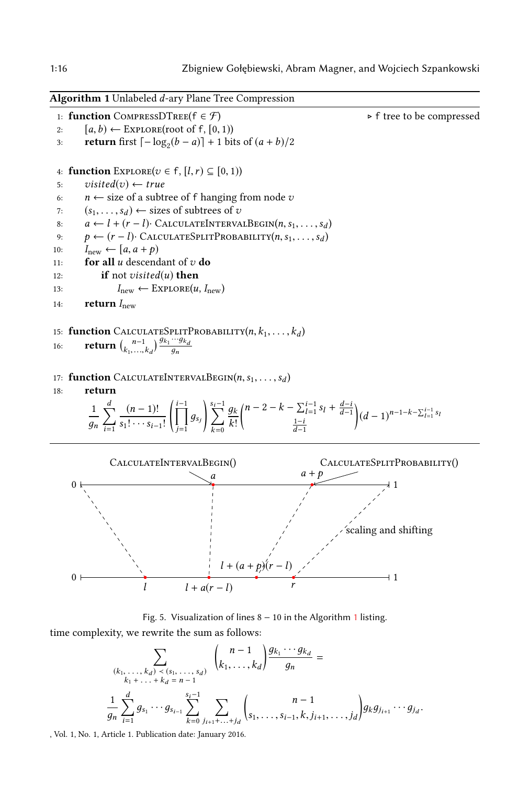<span id="page-15-0"></span>Algorithm 1 Unlabeled d-ary Plane Tree Compression 1: **function** COMPRESSDTREE( $f \in \mathcal{F}$ )  $\rightarrow$  **f** tree to be compressed 2:  $[a, b) \leftarrow$  EXPLORE(root of  $f$ , [0, 1)) 2:  $[a, b) \leftarrow \text{EXPLORE}(\text{root of f}, [0, 1))$ <br>3: **return** first  $[-\log_2(b-a)] + 1$  bi 3: **return** first  $\lceil -\log_2(b - a) \rceil + 1$  bits of  $(a + b)/2$ 4: **function**  $\text{EXPLORE}(v \in f, [l, r) \subseteq [0, 1))$ <br>5:  $visited(v) \leftarrow true$ 5: visited(v) ← true<br>6:  $n \leftarrow$  size of a subti 6:  $n \leftarrow$  size of a subtree of f hanging from node v<br>7: (s, s) ← sizes of subtrees of v 7:  $(s_1, \ldots, s_d) \leftarrow$  sizes of subtrees of v<br>8:  $a \leftarrow l + (r - l) \cdot$  CALCULATEINTERVA 8:  $a \leftarrow l + (r - l) \cdot \text{CALULATEINTERVALBEGIN}(n, s_1, \ldots, s_d)$ <br>9:  $b \leftarrow (r - l) \cdot \text{CALULATESPLITPROBABILITY}(n, s_1, \ldots, s_d)$ 9:  $p \leftarrow (r - l) \cdot \text{CALCULATESPLITPROBABILITY}(n, s_1, \ldots, s_d)$ <br>10:  $I_{\text{new}} \leftarrow [a, a + p)$ 10:  $I_{\text{new}} \leftarrow [a, a + p)$ <br>
11: **for all** *u* descend 11: **for all** u descendant of v **do**<br>12: **if** not visited(u) **then** 12: **if** not visited(u) **then**<br>  $I_{\text{new}} \leftarrow \text{EXPLOREU}$ 13:  $I_{\text{new}} \leftarrow \text{EXPLORE}(u, I_{\text{new}})$ <br>14: **return**  $I_{\text{new}}$ return  $I_{\text{new}}$ 15: **function** CALCULATESPLITPROBABILITY(*n*, *k*<sub>1</sub>, . . . , *k*<sub>d</sub>)<br>
16: **return**  $\binom{n-1}{k_1,\dots,k_d} \frac{g_{k_1}\cdots g_{k_d}}{g_n}$  $\frac{g_{k_1}\cdots g_{k_d}}{a}$ дn 17: **function** CALCULATEINTERVALBEGIN $(n, s_1, \ldots, s_d)$ <br>18: **return** return 1  $\overline{\phantom{a}}$  $\overline{\nabla}$  $\frac{i-1}{i}$  $\frac{(n-1)!}{n}$  $s_1! \cdots s_{i-1}!$  $\int \frac{i-1}{\prod}$  $\prod_{j=1}$  9s<sub>j</sub>  $\sum_{i=1}^{s_i-1}$  $\overline{k=0}$  $\frac{3k}{k!}$  $\binom{n-2-k-\sum_{l=1}^{i-1} s_l + \frac{d-i}{d-1}}{1-i}$  $rac{1-i}{d-1}$  $\Bigg) (d-1)^{n-1-k-\sum_{l=1}^{i-1} s_l}$  $0 \longleftarrow 1$  $\begin{array}{c} a \\ \hline 1 \end{array}$ CALCULATEINTERVALBEGIN() CALCULATESPLITPROBABILITY()

<span id="page-15-1"></span>

Fig. 5. Visualization of lines 8 − 10 in the Algorithm [1](#page-15-0) listing. time complexity, we rewrite the sum as follows:

$$
\sum_{\substack{(k_1,\ldots,k_d) < (s_1,\ldots,s_d) \\ k_1+\ldots+k_d = n-1}} \binom{n-1}{k_1,\ldots,k_d} \frac{g_{k_1}\cdots g_{k_d}}{g_n} =
$$
\n
$$
\frac{1}{g_n} \sum_{i=1}^d g_{s_1} \cdots g_{s_{i-1}} \sum_{k=0}^{s_i-1} \sum_{j_{i+1}+\ldots+j_d} \binom{n-1}{s_1,\ldots,s_{i-1},k,j_{i+1},\ldots,j_d} g_k g_{j_{i+1}} \cdots g_{j_d}
$$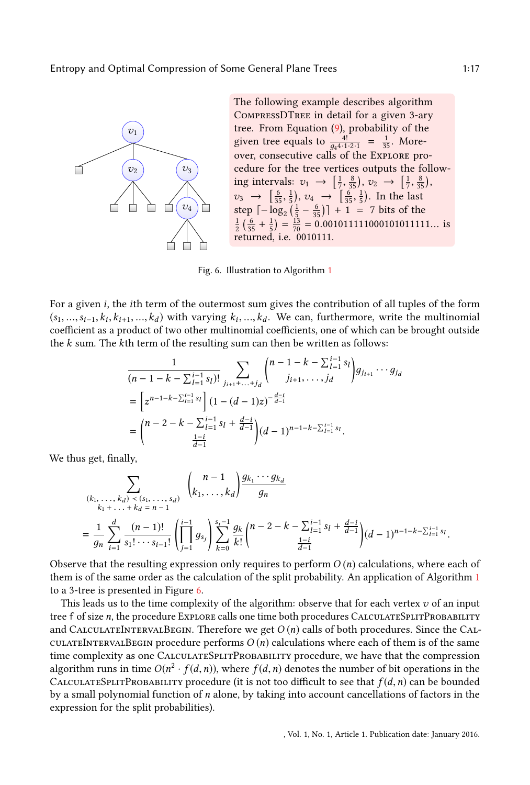<span id="page-16-0"></span>

The following example describes algorithm CompressDTree in detail for a given 3-ary tree. From Equation [\(9\)](#page-8-0), probability of the given tree equals to  $\frac{4!}{g_44 \cdot 1 \cdot 2 \cdot 1} = \frac{1}{35}$ . Moreover, consecutive calls of the Explore procedure for the tree vertices outputs the following intervals:  $v_1 \rightarrow \left[\frac{1}{7}, \frac{8}{35}\right], v_2 \rightarrow \left[\frac{1}{7}, \frac{8}{35}\right],$  $v_3 \rightarrow \left[\frac{6}{35}, \frac{1}{5}\right), v_4 \rightarrow \left[\frac{6}{35}, \frac{1}{5}\right)$ . In the last<br>step  $\left[\frac{1}{35}, \frac{1}{5}\right], v_4 \rightarrow \left[\frac{6}{35}, \frac{1}{5}\right)$ . In the last  $v_3 \rightarrow \frac{1}{35}, \frac{1}{5}, v_4 \rightarrow \frac{1}{35}, \frac{1}{5}$ . In the last<br>step  $\left[-\log_2\left(\frac{1}{5} - \frac{6}{35}\right)\right] + 1 = 7$  bits of the  $\frac{1}{2}$  $(\frac{6}{35} + \frac{1}{5}) = \frac{13}{70} = 0.001011111000101011111...$  is returned, i.e. 0010111.

Fig. 6. Illustration to Algorithm [1](#page-15-0)

For a given i, the ith term of the outermost sum gives the contribution of all tuples of the form  $(s_1, ..., s_{i-1}, k_i, k_{i+1}, ..., k_d)$  with varying  $k_i, ..., k_d$ . We can, furthermore, write the multinomial coefficients are of which can be brought outside coefficient as a product of two other multinomial coefficients, one of which can be brought outside the  $k$  sum. The  $k$ th term of the resulting sum can then be written as follows:

$$
\frac{1}{(n-1-k-\sum_{l=1}^{i-1} s_l)!} \sum_{j_{i+1}+...+j_d} {n-1-k-\sum_{l=1}^{i-1} s_l \choose j_{i+1},...,j_d} g_{j_{i+1}} \cdots g_{j_d}
$$
\n
$$
= \left[z^{n-1-k-\sum_{l=1}^{i-1} s_l} \right] (1-(d-1)z)^{-\frac{d-i}{d-1}}
$$
\n
$$
= {n-2-k-\sum_{l=1}^{i-1} s_l + \frac{d-i}{d-1} \choose \frac{1-i}{d-1}} (d-1)^{n-1-k-\sum_{l=1}^{i-1} s_l}.
$$

We thus get, finally,

$$
\sum_{\substack{(k_1,\ldots,k_d) < (s_1,\ldots,s_d) \\ k_1+\ldots+k_d=n-1}} \binom{n-1}{k_1,\ldots,k_d} \frac{g_{k_1}\cdots g_{k_d}}{g_n}
$$
\n
$$
= \frac{1}{g_n} \sum_{i=1}^d \frac{(n-1)!}{s_1!\cdots s_{i-1}!} \left(\prod_{j=1}^{i-1} g_{s_j}\right) \sum_{k=0}^{s_i-1} \frac{g_k}{k!} \binom{n-2-k-\sum_{l=1}^{i-1} s_l + \frac{d-i}{d-1}}{\frac{1-i}{d-1}} (d-1)^{n-1-k-\sum_{l=1}^{i-1} s_l}
$$

Observe that the resulting expression only requires to perform  $O(n)$  calculations, where each of them is of the same order as the calculation of the split probability. An application of Algorithm [1](#page-15-0) to a 3-tree is presented in Figure [6.](#page-16-0)

This leads us to the time complexity of the algorithm: observe that for each vertex  $v$  of an input tree f of size n, the procedure Explore calls one time both procedures CALCULATESPLITPROBABILITY and CALCULATEINTERVALBEGIN. Therefore we get  $O(n)$  calls of both procedures. Since the CALculateIntervalBegin procedure performs  $O(n)$  calculations where each of them is of the same time complexity as one CALCULATESPLITPROBABILITY procedure, we have that the compression algorithm runs in time  $O(n^2 \cdot f(d, n))$ , where  $f(d, n)$  denotes the number of bit operations in the CALCULATESPLITPROBABILITY procedure (it is not too difficult to see that  $f(d, n)$  can be bounded by a small polynomial function of  $n$  alone, by taking into account cancellations of factors in the expression for the split probabilities).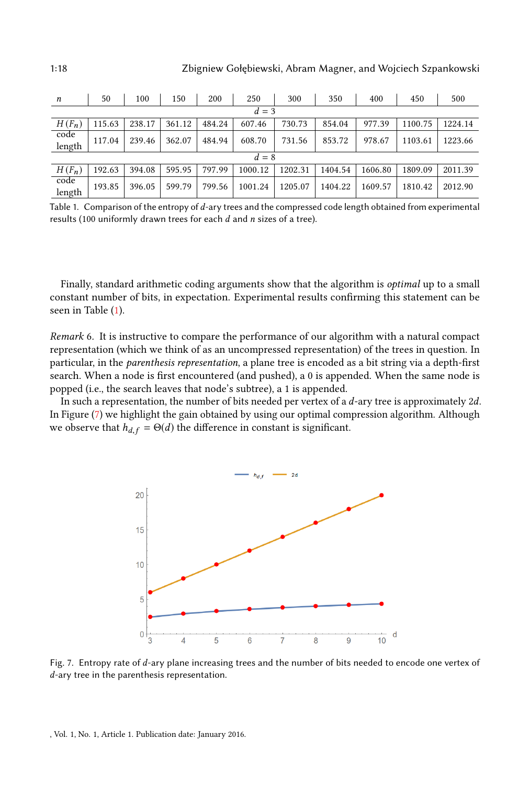<span id="page-17-0"></span>

| n              | 50     | 100    | 150    | 200    | 250     | 300     | 350     | 400     | 450     | 500     |
|----------------|--------|--------|--------|--------|---------|---------|---------|---------|---------|---------|
| $d=3$          |        |        |        |        |         |         |         |         |         |         |
| $H(F_n)$       | 115.63 | 238.17 | 361.12 | 484.24 | 607.46  | 730.73  | 854.04  | 977.39  | 1100.75 | 1224.14 |
| code<br>length | 117.04 | 239.46 | 362.07 | 484.94 | 608.70  | 731.56  | 853.72  | 978.67  | 1103.61 | 1223.66 |
| $d=8$          |        |        |        |        |         |         |         |         |         |         |
| $H(F_n)$       | 192.63 | 394.08 | 595.95 | 797.99 | 1000.12 | 1202.31 | 1404.54 | 1606.80 | 1809.09 | 2011.39 |
| code<br>length | 193.85 | 396.05 | 599.79 | 799.56 | 1001.24 | 1205.07 | 1404.22 | 1609.57 | 1810.42 | 2012.90 |

Table 1. Comparison of the entropy of d-ary trees and the compressed code length obtained from experimental results (100 uniformly drawn trees for each  $d$  and  $n$  sizes of a tree).

Finally, standard arithmetic coding arguments show that the algorithm is *optimal* up to a small constant number of bits, in expectation. Experimental results confirming this statement can be seen in Table [\(1\)](#page-17-0).

Remark 6. It is instructive to compare the performance of our algorithm with a natural compact representation (which we think of as an uncompressed representation) of the trees in question. In particular, in the *parenthesis representation*, a plane tree is encoded as a bit string via a depth-first search. When a node is first encountered (and pushed), a 0 is appended. When the same node is popped (i.e., the search leaves that node's subtree), a 1 is appended.

<span id="page-17-1"></span>In such a representation, the number of bits needed per vertex of a  $d$ -ary tree is approximately  $2d$ . In Figure [\(7\)](#page-17-1) we highlight the gain obtained by using our optimal compression algorithm. Although we observe that  $h_{d,f} = \Theta(d)$  the difference in constant is significant.



Fig. 7. Entropy rate of d-ary plane increasing trees and the number of bits needed to encode one vertex of d-ary tree in the parenthesis representation.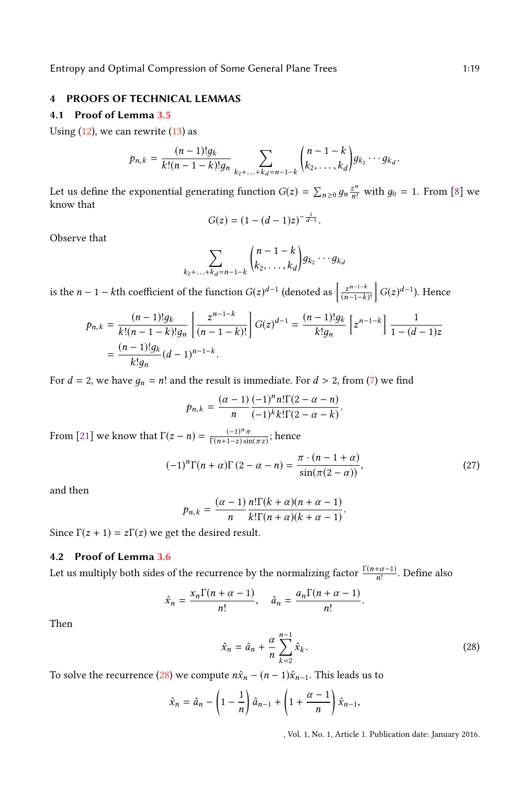# 4 PROOFS OF TECHNICAL LEMMAS

# <span id="page-18-0"></span>4.1 Proof of Lemma [3.5](#page-9-2)

Using  $(12)$ , we can rewrite  $(13)$  as

$$
p_{n,k} = \frac{(n-1)!g_k}{k!(n-1-k)!g_n} \sum_{k_2+\ldots+k_d=n-1-k} {n-1-k \choose k_2,\ldots,k_d} g_{k_2}\cdots g_{k_d}
$$

Let us define the exponential generating function  $G(z) = \sum_{n\geq 0} g_n \frac{z^n}{n!}$  with  $g_0 = 1$ . From [\[8\]](#page-21-12) we know that know that

$$
G(z) = (1 - (d - 1)z)^{-\frac{1}{d-1}}.
$$

Observe that

$$
\sum_{k_2+\ldots+k_d=n-1-k} {n-1-k \choose k_2,\ldots,k_d} g_{k_2}\cdots g_{k_d}
$$

is the *n* − 1 − *k*th coefficient of the function  $G(z)^{d-1}$  (denoted as  $\left[\frac{z}{(n+1)^{d-1}}\right]$  $n-1-k$  $\overline{(n-1-k)!}$  $\Big] G(z)^{d-1}$ ). Hence

$$
p_{n,k} = \frac{(n-1)!g_k}{k!(n-1-k)!g_n} \left[ \frac{z^{n-1-k}}{(n-1-k)!} \right] G(z)^{d-1} = \frac{(n-1)!g_k}{k!g_n} \left[ z^{n-1-k} \right] \frac{1}{1 - (d-1)z}
$$

$$
= \frac{(n-1)!g_k}{k!g_n} (d-1)^{n-1-k}.
$$

For  $d = 2$ , we have  $g_n = n!$  and the result is immediate. For  $d > 2$ , from [\(7\)](#page-8-1) we find

$$
p_{n,k} = \frac{(\alpha - 1)}{n} \frac{(-1)^n n! \Gamma(2 - \alpha - n)}{(-1)^k k! \Gamma(2 - \alpha - k)}
$$

From [\[21\]](#page-21-15) we know that  $\Gamma(z - n) = \frac{(-1)^n \pi}{\Gamma(n+1-z)\sin(\pi z)}$ ; hence

$$
(-1)^{n}\Gamma(n+\alpha)\Gamma(2-\alpha-n) = \frac{\pi \cdot (n-1+\alpha)}{\sin(\pi(2-\alpha))},
$$
\n(27)

and then

$$
p_{n,k} = \frac{(\alpha - 1)}{n} \frac{n! \Gamma(k + \alpha)(n + \alpha - 1)}{k! \Gamma(n + \alpha)(k + \alpha - 1)}.
$$

Since  $\Gamma(z + 1) = z\Gamma(z)$  we get the desired result.

# <span id="page-18-1"></span>4.2 Proof of Lemma [3.6](#page-9-0)

Let us multiply both sides of the recurrence by the normalizing factor  $\frac{\Gamma(n+\alpha-1)}{n!}$  $\frac{+\alpha-1}{n!}$ . Define also

$$
\hat{x}_n = \frac{x_n \Gamma(n + \alpha - 1)}{n!}, \quad \hat{a}_n = \frac{a_n \Gamma(n + \alpha - 1)}{n!}.
$$

Then

<span id="page-18-2"></span>
$$
\hat{x}_n = \hat{a}_n + \frac{\alpha}{n} \sum_{k=2}^{n-1} \hat{x}_k.
$$
\n(28)

To solve the recurrence [\(28\)](#page-18-2) we compute  $n\hat{x}_n - (n-1)\hat{x}_{n-1}$ . This leads us to

$$
\hat{x}_n = \hat{a}_n - \left(1 - \frac{1}{n}\right)\hat{a}_{n-1} + \left(1 + \frac{\alpha - 1}{n}\right)\hat{x}_{n-1},
$$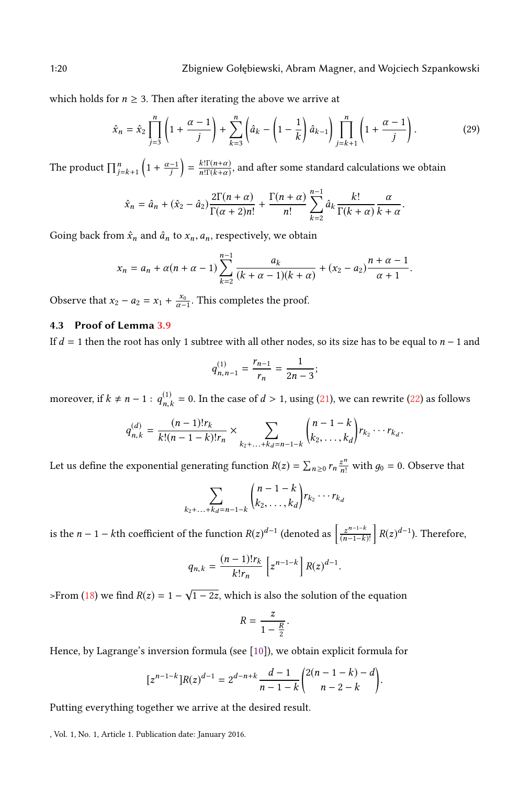which holds for  $n \geq 3$ . Then after iterating the above we arrive at

$$
\hat{x}_n = \hat{x}_2 \prod_{j=3}^n \left( 1 + \frac{\alpha - 1}{j} \right) + \sum_{k=3}^n \left( \hat{a}_k - \left( 1 - \frac{1}{k} \right) \hat{a}_{k-1} \right) \prod_{j=k+1}^n \left( 1 + \frac{\alpha - 1}{j} \right). \tag{29}
$$

The product  $\prod_{j=k+1}^{n} \left(1 + \frac{\alpha-1}{j}\right)$  $= \frac{k! \Gamma(n+\alpha)}{n! \Gamma(k+\alpha)}$  $\frac{k!\Gamma(n+\alpha)}{n!\Gamma(k+\alpha)}$ , and after some standard calculations we obtain

$$
\hat{x}_n = \hat{a}_n + (\hat{x}_2 - \hat{a}_2) \frac{2\Gamma(n+\alpha)}{\Gamma(\alpha+2)n!} + \frac{\Gamma(n+\alpha)}{n!} \sum_{k=2}^{n-1} \hat{a}_k \frac{k!}{\Gamma(k+\alpha)} \frac{\alpha}{k+\alpha}.
$$

Going back from  $\hat{x}_n$  and  $\hat{a}_n$  to  $x_n$ ,  $a_n$ , respectively, we obtain

$$
x_n = a_n + \alpha(n + \alpha - 1) \sum_{k=2}^{n-1} \frac{a_k}{(k + \alpha - 1)(k + \alpha)} + (x_2 - a_2) \frac{n + \alpha - 1}{\alpha + 1}.
$$

Observe that  $x_2 - a_2 = x_1 + \frac{x_0}{\alpha - 1}$ . This completes the proof.

# <span id="page-19-0"></span>4.3 Proof of Lemma [3.9](#page-12-1)

If  $d = 1$  then the root has only 1 subtree with all other nodes, so its size has to be equal to  $n - 1$  and

$$
q_{n,n-1}^{(1)} = \frac{r_{n-1}}{r_n} = \frac{1}{2n-3};
$$

moreover, if  $k \neq n-1$  :  $q_{n,i}^{(1)}$  $n_k$  = 0. In the case of  $d > 1$ , using [\(21\)](#page-11-2), we can rewrite [\(22\)](#page-12-2) as follows

$$
q_{n,k}^{(d)} = \frac{(n-1)!r_k}{k!(n-1-k)!r_n} \times \sum_{k_2+\ldots+k_d=n-1-k} {n-1-k \choose k_2,\ldots,k_d} r_{k_2}\cdots r_{k_d}.
$$

Let us define the exponential generating function  $R(z) = \sum_{n\geq 0} r_n \frac{z^n}{n!}$  with  $g_0 = 0$ . Observe that

$$
\sum_{k_2+\ldots+k_d=n-1-k} {n-1-k \choose k_2,\ldots,k_d} r_{k_2}\cdots r_{k_d}
$$

is the *n* − 1 − *k*th coefficient of the function  $R(z)^{d-1}$  (denoted as  $\left[\frac{z}{n}\right]$  $n-1-k$  $\overline{(n-1-k)!}$  $R(z)^{d-1}$ ). Therefore,

$$
q_{n,k} = \frac{(n-1)!r_k}{k!r_n} \left[ z^{n-1-k} \right] R(z)^{d-1}.
$$

>From [\(18\)](#page-11-3) we find  $R(z) = 1 - \sqrt{1 - 2z}$ , which is also the solution of the equation

$$
R=\frac{z}{1-\frac{R}{2}}.
$$

Hence, by Lagrange's inversion formula (see [\[10\]](#page-21-16)), we obtain explicit formula for

$$
[z^{n-1-k}]R(z)^{d-1} = 2^{d-n+k} \frac{d-1}{n-1-k} \binom{2(n-1-k)-d}{n-2-k}.
$$

Putting everything together we arrive at the desired result.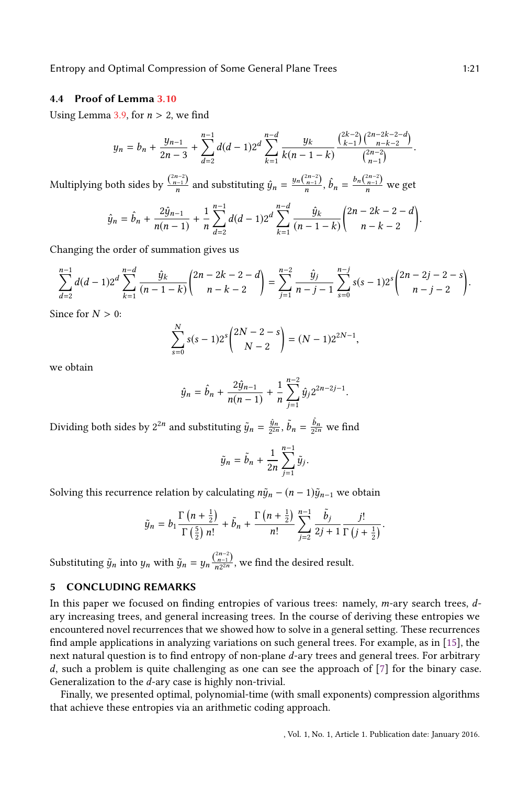Entropy and Optimal Compression of Some General Plane Trees 1:21

### <span id="page-20-0"></span>4.4 Proof of Lemma [3.10](#page-13-1)

Using Lemma [3.9,](#page-12-1) for  $n > 2$ , we find

$$
y_n = b_n + \frac{y_{n-1}}{2n-3} + \sum_{d=2}^{n-1} d(d-1) 2^d \sum_{k=1}^{n-d} \frac{y_k}{k(n-1-k)} \frac{\binom{2k-2}{k-1} \binom{2n-2k-2-d}{n-k-2}}{\binom{2n-2}{n-1}}.
$$

Multiplying both sides by  $\frac{\binom{2n-2}{n-1}}{n}$  and substituting  $\hat{y}_n = \frac{y_n \binom{2n-2}{n-1}}{n}$ ,  $\hat{b}_n = \frac{b_n \binom{2n-2}{n-1}}{n}$  we get

$$
\hat{y}_n = \hat{b}_n + \frac{2\hat{y}_{n-1}}{n(n-1)} + \frac{1}{n} \sum_{d=2}^{n-1} d(d-1) 2^d \sum_{k=1}^{n-d} \frac{\hat{y}_k}{(n-1-k)} \binom{2n-2k-2-d}{n-k-2}.
$$

Changing the order of summation gives us

$$
\sum_{d=2}^{n-1} d(d-1) 2^d \sum_{k=1}^{n-d} \frac{\hat{y}_k}{(n-1-k)} {2n-2k-2-d \choose n-k-2} = \sum_{j=1}^{n-2} \frac{\hat{y}_j}{n-j-1} \sum_{s=0}^{n-j} s(s-1) 2^s {2n-2j-2-s \choose n-j-2}.
$$

Since for  $N > 0$ :

$$
\sum_{s=0}^{N} s(s-1)2^{s} \binom{2N-2-s}{N-2} = (N-1)2^{2N-1},
$$

we obtain

$$
\hat{y}_n = \hat{b}_n + \frac{2\hat{y}_{n-1}}{n(n-1)} + \frac{1}{n} \sum_{j=1}^{n-2} \hat{y}_j 2^{2n-2j-1}.
$$

Dividing both sides by  $2^{2n}$  and substituting  $\tilde{y}_n = \frac{\hat{y}_n}{2^{2n}}$ ,  $\tilde{b}_n = \frac{\hat{b}_n}{2^{2n}}$  we find

$$
\tilde{y}_n = \tilde{b}_n + \frac{1}{2n} \sum_{j=1}^{n-1} \tilde{y}_j.
$$

Solving this recurrence relation by calculating  $n\tilde{y}_n - (n-1)\tilde{y}_{n-1}$  we obtain

$$
\tilde{y}_n = b_1 \frac{\Gamma\left(n + \frac{1}{2}\right)}{\Gamma\left(\frac{5}{2}\right)n!} + \tilde{b}_n + \frac{\Gamma\left(n + \frac{1}{2}\right)}{n!} \sum_{j=2}^{n-1} \frac{\tilde{b}_j}{2j+1} \frac{j!}{\Gamma\left(j + \frac{1}{2}\right)}.
$$

Substituting  $\tilde{y}_n$  into  $y_n$  with  $\tilde{y}_n = y_n \frac{\binom{2n-2}{n-1}}{n2^{2n}}$  $\frac{n-1}{n2^{2n}}$ , we find the desired result.

# 5 CONCLUDING REMARKS

In this paper we focused on finding entropies of various trees: namely,  $m$ -ary search trees,  $d$ ary increasing trees, and general increasing trees. In the course of deriving these entropies we encountered novel recurrences that we showed how to solve in a general setting. These recurrences find ample applications in analyzing variations on such general trees. For example, as in  $[15]$ , the next natural question is to find entropy of non-plane d-ary trees and general trees. For arbitrary  $d$ , such a problem is quite challenging as one can see the approach of  $[7]$  for the binary case. Generalization to the d-ary case is highly non-trivial.

Finally, we presented optimal, polynomial-time (with small exponents) compression algorithms that achieve these entropies via an arithmetic coding approach.